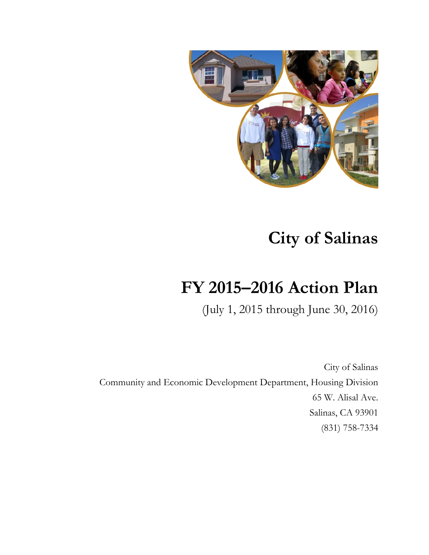

# **City of Salinas**

# **FY 2015–2016 Action Plan**

(July 1, 2015 through June 30, 2016)

City of Salinas Community and Economic Development Department, Housing Division 65 W. Alisal Ave. Salinas, CA 93901 (831) 758-7334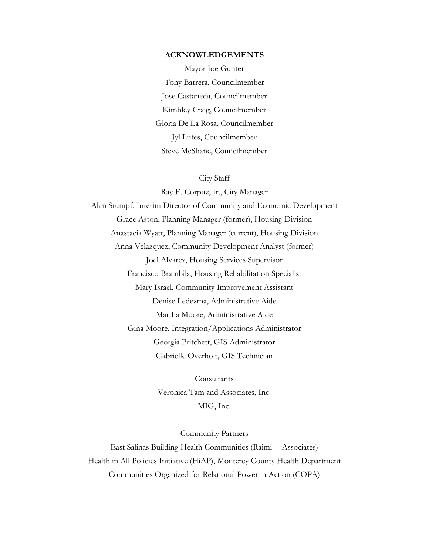#### **ACKNOWLEDGEMENTS**

Mayor Joe Gunter Tony Barrera, Councilmember Jose Castaneda, Councilmember Kimbley Craig, Councilmember Gloria De La Rosa, Councilmember Jyl Lutes, Councilmember Steve McShane, Councilmember

#### City Staff

Ray E. Corpuz, Jr., City Manager Alan Stumpf, Interim Director of Community and Economic Development Grace Aston, Planning Manager (former), Housing Division Anastacia Wyatt, Planning Manager (current), Housing Division Anna Velazquez, Community Development Analyst (former) Joel Alvarez, Housing Services Supervisor Francisco Brambila, Housing Rehabilitation Specialist Mary Israel, Community Improvement Assistant Denise Ledezma, Administrative Aide Martha Moore, Administrative Aide Gina Moore, Integration/Applications Administrator Georgia Pritchett, GIS Administrator Gabrielle Overholt, GIS Technician

> Consultants Veronica Tam and Associates, Inc. MIG, Inc.

> > Community Partners

East Salinas Building Health Communities (Raimi + Associates) Health in All Policies Initiative (HiAP), Monterey County Health Department Communities Organized for Relational Power in Action (COPA)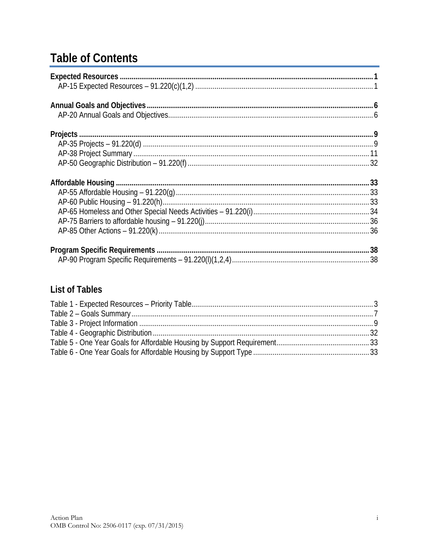# **Table of Contents**

# **List of Tables**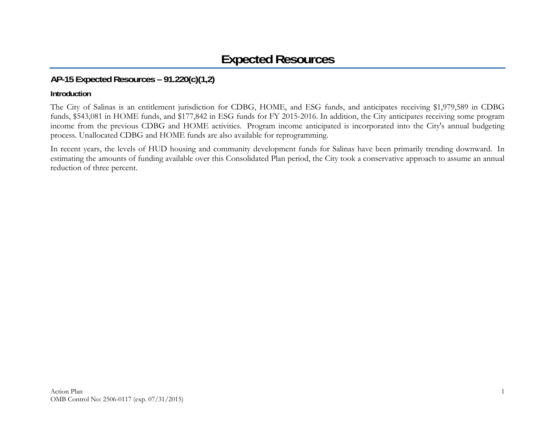# **AP-15 Expected Resources – 91.220(c)(1,2)**

## **Introduction**

The City of Salinas is an entitlement jurisdiction for CDBG, HOME, and ESG funds, and anticipates receiving \$1,979,589 in CDBG funds, \$543,081 in HOME funds, and \$177,842 in ESG funds for FY 2015-2016. In addition, the City anticipates receiving some program income from the previous CDBG and HOME activities. Program income anticipated is incorporated into the City's annual budgeting process. Unallocated CDBG and HOME funds are also available for reprogramming.

In recent years, the levels of HUD housing and community development funds for Salinas have been primarily trending downward. In estimating the amounts of funding available over this Consolidated Plan period, the City took a conservative approach to assume an annual reduction of three percent.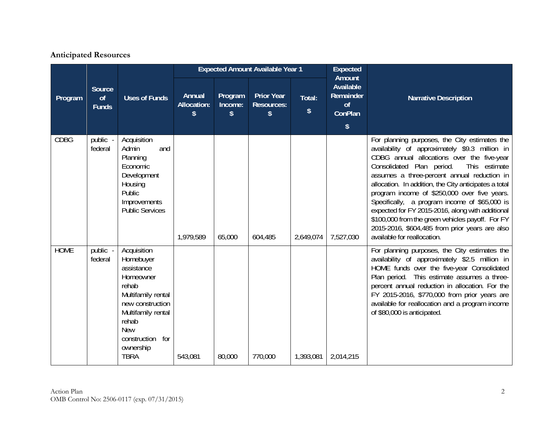## **Anticipated Resources**

|             |                                     |                                                                                                                                                                                                     |                                    |                          | <b>Expected Amount Available Year 1</b>      |              | <b>Expected</b>                                                                     |                                                                                                                                                                                                                                                                                                                                                                                                                                                                                                                                                                                               |
|-------------|-------------------------------------|-----------------------------------------------------------------------------------------------------------------------------------------------------------------------------------------------------|------------------------------------|--------------------------|----------------------------------------------|--------------|-------------------------------------------------------------------------------------|-----------------------------------------------------------------------------------------------------------------------------------------------------------------------------------------------------------------------------------------------------------------------------------------------------------------------------------------------------------------------------------------------------------------------------------------------------------------------------------------------------------------------------------------------------------------------------------------------|
| Program     | <b>Source</b><br>of<br><b>Funds</b> | <b>Uses of Funds</b>                                                                                                                                                                                | Annual<br><b>Allocation:</b><br>s. | Program<br>Income:<br>\$ | <b>Prior Year</b><br><b>Resources:</b><br>\$ | Total:<br>\$ | <b>Amount</b><br>Available<br>Remainder<br>of<br>ConPlan<br>$\sqrt[6]{\frac{1}{2}}$ | <b>Narrative Description</b>                                                                                                                                                                                                                                                                                                                                                                                                                                                                                                                                                                  |
| <b>CDBG</b> | public<br>federal                   | Acquisition<br>Admin<br>and<br>Planning<br>Economic<br>Development<br>Housing<br>Public<br>Improvements<br><b>Public Services</b>                                                                   | 1,979,589                          | 65,000                   | 604,485                                      | 2,649,074    | 7,527,030                                                                           | For planning purposes, the City estimates the<br>availability of approximately \$9.3 million in<br>CDBG annual allocations over the five-year<br>Consolidated Plan period.<br>This estimate<br>assumes a three-percent annual reduction in<br>allocation. In addition, the City anticipates a total<br>program income of \$250,000 over five years.<br>Specifically, a program income of \$65,000 is<br>expected for FY 2015-2016, along with additional<br>\$100,000 from the green vehicles payoff. For FY<br>2015-2016, \$604,485 from prior years are also<br>available for reallocation. |
| <b>HOME</b> | public -<br>federal                 | Acquisition<br>Homebuyer<br>assistance<br>Homeowner<br>rehab<br>Multifamily rental<br>new construction<br>Multifamily rental<br>rehab<br><b>New</b><br>construction for<br>ownership<br><b>TBRA</b> | 543,081                            | 80,000                   | 770,000                                      | 1,393,081    | 2,014,215                                                                           | For planning purposes, the City estimates the<br>availability of approximately \$2.5 million in<br>HOME funds over the five-year Consolidated<br>Plan period. This estimate assumes a three-<br>percent annual reduction in allocation. For the<br>FY 2015-2016, \$770,000 from prior years are<br>available for reallocation and a program income<br>of \$80,000 is anticipated.                                                                                                                                                                                                             |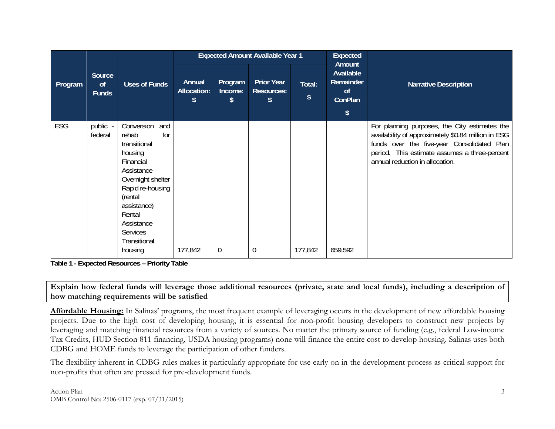|         |                              |                                                                                                                                                                                                                           |                                   |                          | <b>Expected Amount Available Year 1</b>      |              | <b>Expected</b>                                              |                                                                                                                                                                                                                                        |  |
|---------|------------------------------|---------------------------------------------------------------------------------------------------------------------------------------------------------------------------------------------------------------------------|-----------------------------------|--------------------------|----------------------------------------------|--------------|--------------------------------------------------------------|----------------------------------------------------------------------------------------------------------------------------------------------------------------------------------------------------------------------------------------|--|
| Program | Source<br>of<br><b>Funds</b> | <b>Uses of Funds</b>                                                                                                                                                                                                      | Annual<br><b>Allocation:</b><br>S | Program<br>Income:<br>\$ | <b>Prior Year</b><br><b>Resources:</b><br>\$ | Total:<br>\$ | Amount<br>Available<br>Remainder<br><sub>of</sub><br>ConPlan | <b>Narrative Description</b>                                                                                                                                                                                                           |  |
|         |                              |                                                                                                                                                                                                                           |                                   |                          |                                              |              | \$                                                           |                                                                                                                                                                                                                                        |  |
| ESG     | public -<br>federal          | Conversion<br>and<br>rehab<br>for<br>transitional<br>housing<br>Financial<br>Assistance<br>Overnight shelter<br>Rapid re-housing<br>(rental<br>assistance)<br>Rental<br>Assistance<br>Services<br>Transitional<br>housing | 177,842                           | $\mathbf 0$              | 0                                            | 177,842      | 659,592                                                      | For planning purposes, the City estimates the<br>availability of approximately \$0.84 million in ESG<br>funds over the five-year Consolidated Plan<br>period. This estimate assumes a three-percent<br>annual reduction in allocation. |  |

**Table 1 - Expected Resources – Priority Table** 

**Explain how federal funds will leverage those additional resources (private, state and local funds), including a description of how matching requirements will be satisfied** 

**Affordable Housing:** In Salinas' programs, the most frequent example of leveraging occurs in the development of new affordable housing projects. Due to the high cost of developing housing, it is essential for non-profit housing developers to construct new projects by leveraging and matching financial resources from a variety of sources. No matter the primary source of funding (e.g., federal Low-income Tax Credits, HUD Section 811 financing, USDA housing programs) none will finance the entire cost to develop housing. Salinas uses both CDBG and HOME funds to leverage the participation of other funders.

The flexibility inherent in CDBG rules makes it particularly appropriate for use early on in the development process as critical support for non-profits that often are pressed for pre-development funds.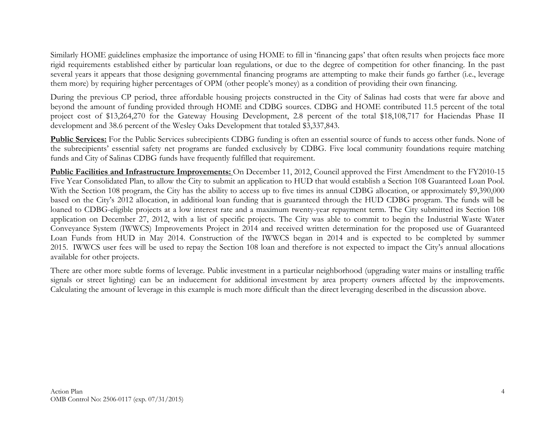Similarly HOME guidelines emphasize the importance of using HOME to fill in 'financing gaps' that often results when projects face more rigid requirements established either by particular loan regulations, or due to the degree of competition for other financing. In the past several years it appears that those designing governmental financing programs are attempting to make their funds go farther (i.e., leverage them more) by requiring higher percentages of OPM (other people's money) as a condition of providing their own financing.

During the previous CP period, three affordable housing projects constructed in the City of Salinas had costs that were far above and beyond the amount of funding provided through HOME and CDBG sources. CDBG and HOME contributed 11.5 percent of the total project cost of \$13,264,270 for the Gateway Housing Development, 2.8 percent of the total \$18,108,717 for Haciendas Phase II development and 38.6 percent of the Wesley Oaks Development that totaled \$3,337,843.

Public Services: For the Public Services subrecipients CDBG funding is often an essential source of funds to access other funds. None of the subrecipients' essential safety net programs are funded exclusively by CDBG. Five local community foundations require matching funds and City of Salinas CDBG funds have frequently fulfilled that requirement.

**Public Facilities and Infrastructure Improvements:** On December 11, 2012, Council approved the First Amendment to the FY2010-15 Five Year Consolidated Plan, to allow the City to submit an application to HUD that would establish a Section 108 Guaranteed Loan Pool. With the Section 108 program, the City has the ability to access up to five times its annual CDBG allocation, or approximately \$9,390,000 based on the City's 2012 allocation, in additional loan funding that is guaranteed through the HUD CDBG program. The funds will be loaned to CDBG-eligible projects at a low interest rate and a maximum twenty-year repayment term. The City submitted its Section 108 application on December 27, 2012, with a list of specific projects. The City was able to commit to begin the Industrial Waste Water Conveyance System (IWWCS) Improvements Project in 2014 and received written determination for the proposed use of Guaranteed Loan Funds from HUD in May 2014. Construction of the IWWCS began in 2014 and is expected to be completed by summer 2015. IWWCS user fees will be used to repay the Section 108 loan and therefore is not expected to impact the City's annual allocations available for other projects.

There are other more subtle forms of leverage. Public investment in a particular neighborhood (upgrading water mains or installing traffic signals or street lighting) can be an inducement for additional investment by area property owners affected by the improvements. Calculating the amount of leverage in this example is much more difficult than the direct leveraging described in the discussion above.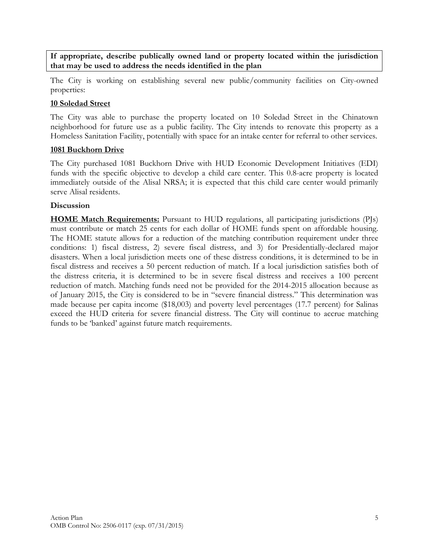**If appropriate, describe publically owned land or property located within the jurisdiction that may be used to address the needs identified in the plan** 

The City is working on establishing several new public/community facilities on City-owned properties:

#### **10 Soledad Street**

The City was able to purchase the property located on 10 Soledad Street in the Chinatown neighborhood for future use as a public facility. The City intends to renovate this property as a Homeless Sanitation Facility, potentially with space for an intake center for referral to other services.

#### **1081 Buckhorn Drive**

The City purchased 1081 Buckhorn Drive with HUD Economic Development Initiatives (EDI) funds with the specific objective to develop a child care center. This 0.8-acre property is located immediately outside of the Alisal NRSA; it is expected that this child care center would primarily serve Alisal residents.

#### **Discussion**

**HOME Match Requirements:** Pursuant to HUD regulations, all participating jurisdictions (PJs) must contribute or match 25 cents for each dollar of HOME funds spent on affordable housing. The HOME statute allows for a reduction of the matching contribution requirement under three conditions: 1) fiscal distress, 2) severe fiscal distress, and 3) for Presidentially-declared major disasters. When a local jurisdiction meets one of these distress conditions, it is determined to be in fiscal distress and receives a 50 percent reduction of match. If a local jurisdiction satisfies both of the distress criteria, it is determined to be in severe fiscal distress and receives a 100 percent reduction of match. Matching funds need not be provided for the 2014-2015 allocation because as of January 2015, the City is considered to be in "severe financial distress." This determination was made because per capita income (\$18,003) and poverty level percentages (17.7 percent) for Salinas exceed the HUD criteria for severe financial distress. The City will continue to accrue matching funds to be 'banked' against future match requirements.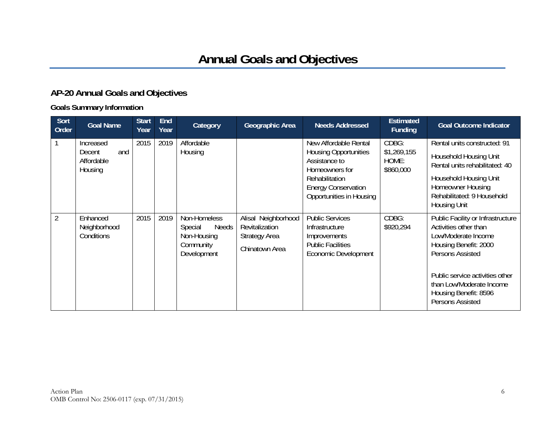# **AP-20 Annual Goals and Objectives**

## **Goals Summary Information**

| Sort<br>Order  | <b>Goal Name</b>                                    | <b>Start</b><br>Year | <b>End</b><br>Year | Category                                                                           | Geographic Area                                                                 | <b>Needs Addressed</b>                                                                                                                                               | <b>Estimated</b><br><b>Funding</b>         | <b>Goal Outcome Indicator</b>                                                                                                                                                                                                              |
|----------------|-----------------------------------------------------|----------------------|--------------------|------------------------------------------------------------------------------------|---------------------------------------------------------------------------------|----------------------------------------------------------------------------------------------------------------------------------------------------------------------|--------------------------------------------|--------------------------------------------------------------------------------------------------------------------------------------------------------------------------------------------------------------------------------------------|
|                | Increased<br>and<br>Decent<br>Affordable<br>Housing | 2015                 | 2019               | Affordable<br>Housing                                                              |                                                                                 | New Affordable Rental<br><b>Housing Opportunities</b><br>Assistance to<br>Homeowners for<br>Rehabilitation<br><b>Energy Conservation</b><br>Opportunities in Housing | CDBG:<br>\$1,269,155<br>HOME:<br>\$860,000 | Rental units constructed: 91<br>Household Housing Unit<br>Rental units rehabilitated: 40<br>Household Housing Unit<br>Homeowner Housing<br>Rehabilitated: 9 Household<br>Housing Unit                                                      |
| $\overline{2}$ | Enhanced<br>Neighborhood<br>Conditions              | 2015                 | 2019               | Non-Homeless<br><b>Needs</b><br>Special<br>Non-Housing<br>Community<br>Development | Alisal Neighborhood<br>Revitalization<br><b>Strategy Area</b><br>Chinatown Area | <b>Public Services</b><br>Infrastructure<br>Improvements<br><b>Public Facilities</b><br><b>Economic Development</b>                                                  | CDBG:<br>\$920,294                         | Public Facility or Infrastructure<br>Activities other than<br>Low/Moderate Income<br>Housing Benefit: 2000<br>Persons Assisted<br>Public service activities other<br>than Low/Moderate Income<br>Housing Benefit: 8596<br>Persons Assisted |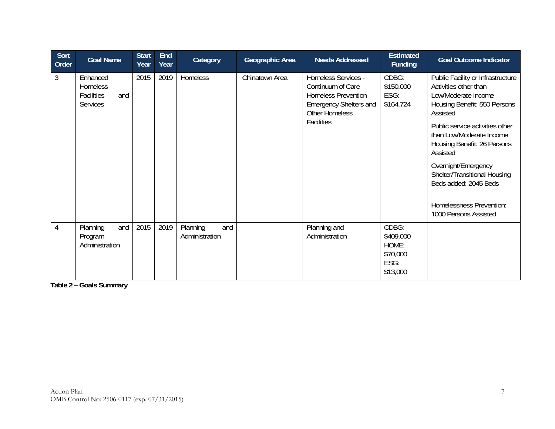| Sort<br>Order | <b>Goal Name</b>                                                    | <b>Start</b><br>Year | <b>End</b><br>Year | Category                          | Geographic Area | <b>Needs Addressed</b>                                                                                                                                | <b>Estimated</b><br><b>Funding</b>                          | <b>Goal Outcome Indicator</b>                                                                                                                                                                                                                                                                                                                                                |
|---------------|---------------------------------------------------------------------|----------------------|--------------------|-----------------------------------|-----------------|-------------------------------------------------------------------------------------------------------------------------------------------------------|-------------------------------------------------------------|------------------------------------------------------------------------------------------------------------------------------------------------------------------------------------------------------------------------------------------------------------------------------------------------------------------------------------------------------------------------------|
| 3             | Enhanced<br><b>Homeless</b><br>Facilities<br>and<br><b>Services</b> | 2015                 | 2019               | Homeless                          | Chinatown Area  | Homeless Services -<br>Continuum of Care<br><b>Homeless Prevention</b><br><b>Emergency Shelters and</b><br><b>Other Homeless</b><br><b>Facilities</b> | CDBG:<br>\$150,000<br>ESG:<br>\$164,724                     | Public Facility or Infrastructure<br>Activities other than<br>Low/Moderate Income<br>Housing Benefit: 550 Persons<br>Assisted<br>Public service activities other<br>than Low/Moderate Income<br>Housing Benefit: 26 Persons<br>Assisted<br>Overnight/Emergency<br>Shelter/Transitional Housing<br>Beds added: 2045 Beds<br>Homelessness Prevention:<br>1000 Persons Assisted |
| 4             | Planning<br>and<br>Program<br>Administration                        | 2015                 | 2019               | Planning<br>and<br>Administration |                 | Planning and<br>Administration                                                                                                                        | CDBG:<br>\$409,000<br>HOME:<br>\$70,000<br>ESG:<br>\$13,000 |                                                                                                                                                                                                                                                                                                                                                                              |

**Table 2 – Goals Summary**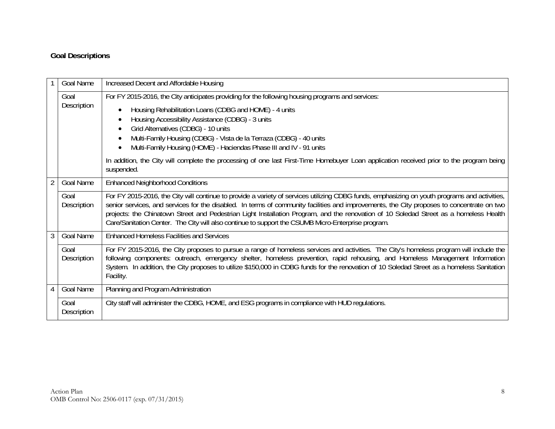# **Goal Descriptions**

|                | Goal Name           | Increased Decent and Affordable Housing                                                                                                                                                                                                                                                                                                                                                                                                                                                                                                     |  |  |  |  |
|----------------|---------------------|---------------------------------------------------------------------------------------------------------------------------------------------------------------------------------------------------------------------------------------------------------------------------------------------------------------------------------------------------------------------------------------------------------------------------------------------------------------------------------------------------------------------------------------------|--|--|--|--|
|                | Goal<br>Description | For FY 2015-2016, the City anticipates providing for the following housing programs and services:<br>Housing Rehabilitation Loans (CDBG and HOME) - 4 units<br>Housing Accessibility Assistance (CDBG) - 3 units<br>Grid Alternatives (CDBG) - 10 units<br>Multi-Family Housing (CDBG) - Vista de la Terraza (CDBG) - 40 units<br>Multi-Family Housing (HOME) - Haciendas Phase III and IV - 91 units                                                                                                                                       |  |  |  |  |
|                |                     | In addition, the City will complete the processing of one last First-Time Homebuyer Loan application received prior to the program being<br>suspended.                                                                                                                                                                                                                                                                                                                                                                                      |  |  |  |  |
| $\overline{2}$ | Goal Name           | <b>Enhanced Neighborhood Conditions</b>                                                                                                                                                                                                                                                                                                                                                                                                                                                                                                     |  |  |  |  |
|                | Goal<br>Description | For FY 2015-2016, the City will continue to provide a variety of services utilizing CDBG funds, emphasizing on youth programs and activities,<br>senior services, and services for the disabled. In terms of community facilities and improvements, the City proposes to concentrate on two<br>projects: the Chinatown Street and Pedestrian Light Installation Program, and the renovation of 10 Soledad Street as a homeless Health<br>Care/Sanitation Center. The City will also continue to support the CSUMB Micro-Enterprise program. |  |  |  |  |
| 3              | <b>Goal Name</b>    | <b>Enhanced Homeless Facilities and Services</b>                                                                                                                                                                                                                                                                                                                                                                                                                                                                                            |  |  |  |  |
|                | Goal<br>Description | For FY 2015-2016, the City proposes to pursue a range of homeless services and activities. The City's homeless program will include the<br>following components: outreach, emergency shelter, homeless prevention, rapid rehousing, and Homeless Management Information<br>System. In addition, the City proposes to utilize \$150,000 in CDBG funds for the renovation of 10 Soledad Street as a homeless Sanitation<br>Facility.                                                                                                          |  |  |  |  |
| $\overline{4}$ | Goal Name           | Planning and Program Administration                                                                                                                                                                                                                                                                                                                                                                                                                                                                                                         |  |  |  |  |
|                | Goal<br>Description | City staff will administer the CDBG, HOME, and ESG programs in compliance with HUD regulations.                                                                                                                                                                                                                                                                                                                                                                                                                                             |  |  |  |  |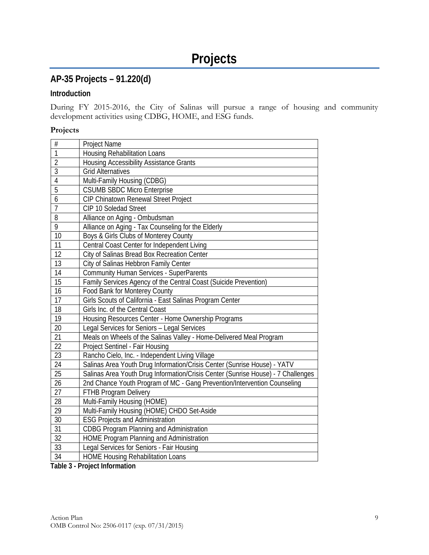# **AP-35 Projects – 91.220(d)**

## **Introduction**

During FY 2015-2016, the City of Salinas will pursue a range of housing and community development activities using CDBG, HOME, and ESG funds.

#### **Projects**

| <b>Housing Rehabilitation Loans</b><br>$\overline{2}$<br><b>Housing Accessibility Assistance Grants</b><br>$\overline{3}$<br><b>Grid Alternatives</b><br>$\overline{4}$<br>Multi-Family Housing (CDBG)<br>5<br><b>CSUMB SBDC Micro Enterprise</b><br>$\overline{6}$<br>CIP Chinatown Renewal Street Project<br>$\overline{7}$<br>CIP 10 Soledad Street<br>8<br>Alliance on Aging - Ombudsman<br>$\overline{9}$<br>Alliance on Aging - Tax Counseling for the Elderly<br>10<br>Boys & Girls Clubs of Monterey County<br>$\overline{11}$<br>Central Coast Center for Independent Living<br>12<br>City of Salinas Bread Box Recreation Center<br>$\overline{13}$<br>City of Salinas Hebbron Family Center<br>14<br><b>Community Human Services - SuperParents</b><br>$\overline{15}$<br>Family Services Agency of the Central Coast (Suicide Prevention)<br>16<br>Food Bank for Monterey County<br>17<br>Girls Scouts of California - East Salinas Program Center<br>18<br>Girls Inc. of the Central Coast<br>19<br>Housing Resources Center - Home Ownership Programs<br>20<br>Legal Services for Seniors - Legal Services<br>$\overline{21}$<br>Meals on Wheels of the Salinas Valley - Home-Delivered Meal Program<br>22<br>Project Sentinel - Fair Housing<br>$\overline{23}$<br>Rancho Cielo, Inc. - Independent Living Village<br>24<br>Salinas Area Youth Drug Information/Crisis Center (Sunrise House) - YATV<br>$\overline{25}$<br>Salinas Area Youth Drug Information/Crisis Center (Sunrise House) - 7 Challenges<br>26<br>2nd Chance Youth Program of MC - Gang Prevention/Intervention Counseling<br>27<br><b>FTHB Program Delivery</b><br>28<br>Multi-Family Housing (HOME)<br>29<br>Multi-Family Housing (HOME) CHDO Set-Aside<br>30<br><b>ESG Projects and Administration</b><br>$\overline{31}$<br><b>CDBG Program Planning and Administration</b><br>32<br>HOME Program Planning and Administration<br>$\overline{33}$<br>Legal Services for Seniors - Fair Housing<br>34 | $\#$           | Project Name                             |
|-------------------------------------------------------------------------------------------------------------------------------------------------------------------------------------------------------------------------------------------------------------------------------------------------------------------------------------------------------------------------------------------------------------------------------------------------------------------------------------------------------------------------------------------------------------------------------------------------------------------------------------------------------------------------------------------------------------------------------------------------------------------------------------------------------------------------------------------------------------------------------------------------------------------------------------------------------------------------------------------------------------------------------------------------------------------------------------------------------------------------------------------------------------------------------------------------------------------------------------------------------------------------------------------------------------------------------------------------------------------------------------------------------------------------------------------------------------------------------------------------------------------------------------------------------------------------------------------------------------------------------------------------------------------------------------------------------------------------------------------------------------------------------------------------------------------------------------------------------------------------------------------------------------------------------------------------------------------------------------------|----------------|------------------------------------------|
|                                                                                                                                                                                                                                                                                                                                                                                                                                                                                                                                                                                                                                                                                                                                                                                                                                                                                                                                                                                                                                                                                                                                                                                                                                                                                                                                                                                                                                                                                                                                                                                                                                                                                                                                                                                                                                                                                                                                                                                           | $\overline{1}$ |                                          |
|                                                                                                                                                                                                                                                                                                                                                                                                                                                                                                                                                                                                                                                                                                                                                                                                                                                                                                                                                                                                                                                                                                                                                                                                                                                                                                                                                                                                                                                                                                                                                                                                                                                                                                                                                                                                                                                                                                                                                                                           |                |                                          |
|                                                                                                                                                                                                                                                                                                                                                                                                                                                                                                                                                                                                                                                                                                                                                                                                                                                                                                                                                                                                                                                                                                                                                                                                                                                                                                                                                                                                                                                                                                                                                                                                                                                                                                                                                                                                                                                                                                                                                                                           |                |                                          |
|                                                                                                                                                                                                                                                                                                                                                                                                                                                                                                                                                                                                                                                                                                                                                                                                                                                                                                                                                                                                                                                                                                                                                                                                                                                                                                                                                                                                                                                                                                                                                                                                                                                                                                                                                                                                                                                                                                                                                                                           |                |                                          |
|                                                                                                                                                                                                                                                                                                                                                                                                                                                                                                                                                                                                                                                                                                                                                                                                                                                                                                                                                                                                                                                                                                                                                                                                                                                                                                                                                                                                                                                                                                                                                                                                                                                                                                                                                                                                                                                                                                                                                                                           |                |                                          |
|                                                                                                                                                                                                                                                                                                                                                                                                                                                                                                                                                                                                                                                                                                                                                                                                                                                                                                                                                                                                                                                                                                                                                                                                                                                                                                                                                                                                                                                                                                                                                                                                                                                                                                                                                                                                                                                                                                                                                                                           |                |                                          |
|                                                                                                                                                                                                                                                                                                                                                                                                                                                                                                                                                                                                                                                                                                                                                                                                                                                                                                                                                                                                                                                                                                                                                                                                                                                                                                                                                                                                                                                                                                                                                                                                                                                                                                                                                                                                                                                                                                                                                                                           |                |                                          |
|                                                                                                                                                                                                                                                                                                                                                                                                                                                                                                                                                                                                                                                                                                                                                                                                                                                                                                                                                                                                                                                                                                                                                                                                                                                                                                                                                                                                                                                                                                                                                                                                                                                                                                                                                                                                                                                                                                                                                                                           |                |                                          |
|                                                                                                                                                                                                                                                                                                                                                                                                                                                                                                                                                                                                                                                                                                                                                                                                                                                                                                                                                                                                                                                                                                                                                                                                                                                                                                                                                                                                                                                                                                                                                                                                                                                                                                                                                                                                                                                                                                                                                                                           |                |                                          |
|                                                                                                                                                                                                                                                                                                                                                                                                                                                                                                                                                                                                                                                                                                                                                                                                                                                                                                                                                                                                                                                                                                                                                                                                                                                                                                                                                                                                                                                                                                                                                                                                                                                                                                                                                                                                                                                                                                                                                                                           |                |                                          |
|                                                                                                                                                                                                                                                                                                                                                                                                                                                                                                                                                                                                                                                                                                                                                                                                                                                                                                                                                                                                                                                                                                                                                                                                                                                                                                                                                                                                                                                                                                                                                                                                                                                                                                                                                                                                                                                                                                                                                                                           |                |                                          |
|                                                                                                                                                                                                                                                                                                                                                                                                                                                                                                                                                                                                                                                                                                                                                                                                                                                                                                                                                                                                                                                                                                                                                                                                                                                                                                                                                                                                                                                                                                                                                                                                                                                                                                                                                                                                                                                                                                                                                                                           |                |                                          |
|                                                                                                                                                                                                                                                                                                                                                                                                                                                                                                                                                                                                                                                                                                                                                                                                                                                                                                                                                                                                                                                                                                                                                                                                                                                                                                                                                                                                                                                                                                                                                                                                                                                                                                                                                                                                                                                                                                                                                                                           |                |                                          |
|                                                                                                                                                                                                                                                                                                                                                                                                                                                                                                                                                                                                                                                                                                                                                                                                                                                                                                                                                                                                                                                                                                                                                                                                                                                                                                                                                                                                                                                                                                                                                                                                                                                                                                                                                                                                                                                                                                                                                                                           |                |                                          |
|                                                                                                                                                                                                                                                                                                                                                                                                                                                                                                                                                                                                                                                                                                                                                                                                                                                                                                                                                                                                                                                                                                                                                                                                                                                                                                                                                                                                                                                                                                                                                                                                                                                                                                                                                                                                                                                                                                                                                                                           |                |                                          |
|                                                                                                                                                                                                                                                                                                                                                                                                                                                                                                                                                                                                                                                                                                                                                                                                                                                                                                                                                                                                                                                                                                                                                                                                                                                                                                                                                                                                                                                                                                                                                                                                                                                                                                                                                                                                                                                                                                                                                                                           |                |                                          |
|                                                                                                                                                                                                                                                                                                                                                                                                                                                                                                                                                                                                                                                                                                                                                                                                                                                                                                                                                                                                                                                                                                                                                                                                                                                                                                                                                                                                                                                                                                                                                                                                                                                                                                                                                                                                                                                                                                                                                                                           |                |                                          |
|                                                                                                                                                                                                                                                                                                                                                                                                                                                                                                                                                                                                                                                                                                                                                                                                                                                                                                                                                                                                                                                                                                                                                                                                                                                                                                                                                                                                                                                                                                                                                                                                                                                                                                                                                                                                                                                                                                                                                                                           |                |                                          |
|                                                                                                                                                                                                                                                                                                                                                                                                                                                                                                                                                                                                                                                                                                                                                                                                                                                                                                                                                                                                                                                                                                                                                                                                                                                                                                                                                                                                                                                                                                                                                                                                                                                                                                                                                                                                                                                                                                                                                                                           |                |                                          |
|                                                                                                                                                                                                                                                                                                                                                                                                                                                                                                                                                                                                                                                                                                                                                                                                                                                                                                                                                                                                                                                                                                                                                                                                                                                                                                                                                                                                                                                                                                                                                                                                                                                                                                                                                                                                                                                                                                                                                                                           |                |                                          |
|                                                                                                                                                                                                                                                                                                                                                                                                                                                                                                                                                                                                                                                                                                                                                                                                                                                                                                                                                                                                                                                                                                                                                                                                                                                                                                                                                                                                                                                                                                                                                                                                                                                                                                                                                                                                                                                                                                                                                                                           |                |                                          |
|                                                                                                                                                                                                                                                                                                                                                                                                                                                                                                                                                                                                                                                                                                                                                                                                                                                                                                                                                                                                                                                                                                                                                                                                                                                                                                                                                                                                                                                                                                                                                                                                                                                                                                                                                                                                                                                                                                                                                                                           |                |                                          |
|                                                                                                                                                                                                                                                                                                                                                                                                                                                                                                                                                                                                                                                                                                                                                                                                                                                                                                                                                                                                                                                                                                                                                                                                                                                                                                                                                                                                                                                                                                                                                                                                                                                                                                                                                                                                                                                                                                                                                                                           |                |                                          |
|                                                                                                                                                                                                                                                                                                                                                                                                                                                                                                                                                                                                                                                                                                                                                                                                                                                                                                                                                                                                                                                                                                                                                                                                                                                                                                                                                                                                                                                                                                                                                                                                                                                                                                                                                                                                                                                                                                                                                                                           |                |                                          |
|                                                                                                                                                                                                                                                                                                                                                                                                                                                                                                                                                                                                                                                                                                                                                                                                                                                                                                                                                                                                                                                                                                                                                                                                                                                                                                                                                                                                                                                                                                                                                                                                                                                                                                                                                                                                                                                                                                                                                                                           |                |                                          |
|                                                                                                                                                                                                                                                                                                                                                                                                                                                                                                                                                                                                                                                                                                                                                                                                                                                                                                                                                                                                                                                                                                                                                                                                                                                                                                                                                                                                                                                                                                                                                                                                                                                                                                                                                                                                                                                                                                                                                                                           |                |                                          |
|                                                                                                                                                                                                                                                                                                                                                                                                                                                                                                                                                                                                                                                                                                                                                                                                                                                                                                                                                                                                                                                                                                                                                                                                                                                                                                                                                                                                                                                                                                                                                                                                                                                                                                                                                                                                                                                                                                                                                                                           |                |                                          |
|                                                                                                                                                                                                                                                                                                                                                                                                                                                                                                                                                                                                                                                                                                                                                                                                                                                                                                                                                                                                                                                                                                                                                                                                                                                                                                                                                                                                                                                                                                                                                                                                                                                                                                                                                                                                                                                                                                                                                                                           |                |                                          |
|                                                                                                                                                                                                                                                                                                                                                                                                                                                                                                                                                                                                                                                                                                                                                                                                                                                                                                                                                                                                                                                                                                                                                                                                                                                                                                                                                                                                                                                                                                                                                                                                                                                                                                                                                                                                                                                                                                                                                                                           |                |                                          |
|                                                                                                                                                                                                                                                                                                                                                                                                                                                                                                                                                                                                                                                                                                                                                                                                                                                                                                                                                                                                                                                                                                                                                                                                                                                                                                                                                                                                                                                                                                                                                                                                                                                                                                                                                                                                                                                                                                                                                                                           |                |                                          |
|                                                                                                                                                                                                                                                                                                                                                                                                                                                                                                                                                                                                                                                                                                                                                                                                                                                                                                                                                                                                                                                                                                                                                                                                                                                                                                                                                                                                                                                                                                                                                                                                                                                                                                                                                                                                                                                                                                                                                                                           |                |                                          |
|                                                                                                                                                                                                                                                                                                                                                                                                                                                                                                                                                                                                                                                                                                                                                                                                                                                                                                                                                                                                                                                                                                                                                                                                                                                                                                                                                                                                                                                                                                                                                                                                                                                                                                                                                                                                                                                                                                                                                                                           |                |                                          |
|                                                                                                                                                                                                                                                                                                                                                                                                                                                                                                                                                                                                                                                                                                                                                                                                                                                                                                                                                                                                                                                                                                                                                                                                                                                                                                                                                                                                                                                                                                                                                                                                                                                                                                                                                                                                                                                                                                                                                                                           |                |                                          |
|                                                                                                                                                                                                                                                                                                                                                                                                                                                                                                                                                                                                                                                                                                                                                                                                                                                                                                                                                                                                                                                                                                                                                                                                                                                                                                                                                                                                                                                                                                                                                                                                                                                                                                                                                                                                                                                                                                                                                                                           |                | <b>HOME Housing Rehabilitation Loans</b> |

**Table 3 - Project Information**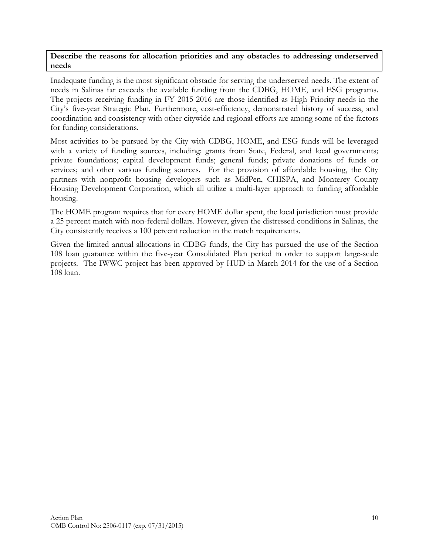#### **Describe the reasons for allocation priorities and any obstacles to addressing underserved needs**

Inadequate funding is the most significant obstacle for serving the underserved needs. The extent of needs in Salinas far exceeds the available funding from the CDBG, HOME, and ESG programs. The projects receiving funding in FY 2015-2016 are those identified as High Priority needs in the City's five-year Strategic Plan. Furthermore, cost-efficiency, demonstrated history of success, and coordination and consistency with other citywide and regional efforts are among some of the factors for funding considerations.

Most activities to be pursued by the City with CDBG, HOME, and ESG funds will be leveraged with a variety of funding sources, including: grants from State, Federal, and local governments; private foundations; capital development funds; general funds; private donations of funds or services; and other various funding sources. For the provision of affordable housing, the City partners with nonprofit housing developers such as MidPen, CHISPA, and Monterey County Housing Development Corporation, which all utilize a multi-layer approach to funding affordable housing.

The HOME program requires that for every HOME dollar spent, the local jurisdiction must provide a 25 percent match with non-federal dollars. However, given the distressed conditions in Salinas, the City consistently receives a 100 percent reduction in the match requirements.

Given the limited annual allocations in CDBG funds, the City has pursued the use of the Section 108 loan guarantee within the five-year Consolidated Plan period in order to support large-scale projects. The IWWC project has been approved by HUD in March 2014 for the use of a Section 108 loan.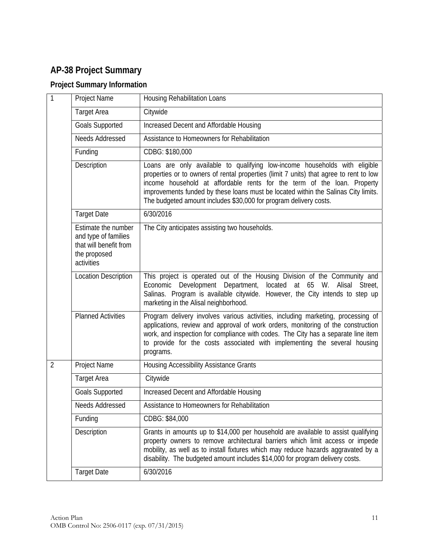# **AP-38 Project Summary**

# **Project Summary Information**

| $\mathbf{1}$   | Project Name                                                                                        | Housing Rehabilitation Loans                                                                                                                                                                                                                                                                                                                                                                               |
|----------------|-----------------------------------------------------------------------------------------------------|------------------------------------------------------------------------------------------------------------------------------------------------------------------------------------------------------------------------------------------------------------------------------------------------------------------------------------------------------------------------------------------------------------|
|                | <b>Target Area</b>                                                                                  | Citywide                                                                                                                                                                                                                                                                                                                                                                                                   |
|                | <b>Goals Supported</b>                                                                              | Increased Decent and Affordable Housing                                                                                                                                                                                                                                                                                                                                                                    |
|                | Needs Addressed                                                                                     | Assistance to Homeowners for Rehabilitation                                                                                                                                                                                                                                                                                                                                                                |
|                | Funding                                                                                             | CDBG: \$180,000                                                                                                                                                                                                                                                                                                                                                                                            |
|                | Description                                                                                         | Loans are only available to qualifying low-income households with eligible<br>properties or to owners of rental properties (limit 7 units) that agree to rent to low<br>income household at affordable rents for the term of the loan. Property<br>improvements funded by these loans must be located within the Salinas City limits.<br>The budgeted amount includes \$30,000 for program delivery costs. |
|                | <b>Target Date</b>                                                                                  | 6/30/2016                                                                                                                                                                                                                                                                                                                                                                                                  |
|                | Estimate the number<br>and type of families<br>that will benefit from<br>the proposed<br>activities | The City anticipates assisting two households.                                                                                                                                                                                                                                                                                                                                                             |
|                | <b>Location Description</b>                                                                         | This project is operated out of the Housing Division of the Community and<br>Economic Development Department, located at 65 W.<br>Alisal<br>Street.<br>Salinas. Program is available citywide. However, the City intends to step up<br>marketing in the Alisal neighborhood.                                                                                                                               |
|                | <b>Planned Activities</b>                                                                           | Program delivery involves various activities, including marketing, processing of<br>applications, review and approval of work orders, monitoring of the construction<br>work, and inspection for compliance with codes. The City has a separate line item<br>to provide for the costs associated with implementing the several housing<br>programs.                                                        |
| $\overline{2}$ | Project Name                                                                                        | <b>Housing Accessibility Assistance Grants</b>                                                                                                                                                                                                                                                                                                                                                             |
|                | <b>Target Area</b>                                                                                  | Citywide                                                                                                                                                                                                                                                                                                                                                                                                   |
|                | <b>Goals Supported</b>                                                                              | Increased Decent and Affordable Housing                                                                                                                                                                                                                                                                                                                                                                    |
|                | Needs Addressed                                                                                     | Assistance to Homeowners for Rehabilitation                                                                                                                                                                                                                                                                                                                                                                |
|                | Funding                                                                                             | CDBG: \$84,000                                                                                                                                                                                                                                                                                                                                                                                             |
|                | Description                                                                                         | Grants in amounts up to \$14,000 per household are available to assist qualifying<br>property owners to remove architectural barriers which limit access or impede<br>mobility, as well as to install fixtures which may reduce hazards aggravated by a<br>disability. The budgeted amount includes \$14,000 for program delivery costs.                                                                   |
|                | <b>Target Date</b>                                                                                  | 6/30/2016                                                                                                                                                                                                                                                                                                                                                                                                  |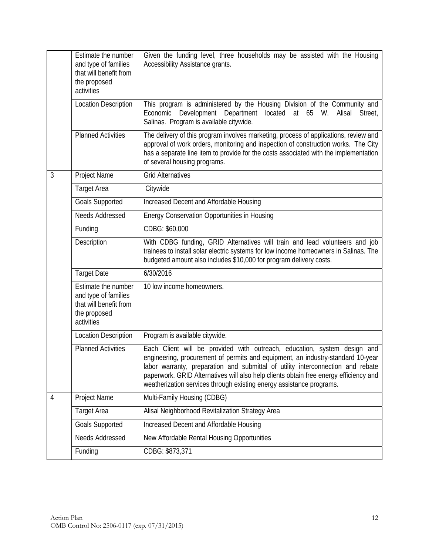|   | Estimate the number<br>and type of families<br>that will benefit from<br>the proposed<br>activities | Given the funding level, three households may be assisted with the Housing<br>Accessibility Assistance grants.                                                                                                                                                                                                                                                                                                  |
|---|-----------------------------------------------------------------------------------------------------|-----------------------------------------------------------------------------------------------------------------------------------------------------------------------------------------------------------------------------------------------------------------------------------------------------------------------------------------------------------------------------------------------------------------|
|   | <b>Location Description</b>                                                                         | This program is administered by the Housing Division of the Community and<br>Development Department<br>located at 65<br>Alisal<br>Economic<br>W.<br>Street,<br>Salinas. Program is available citywide.                                                                                                                                                                                                          |
|   | <b>Planned Activities</b>                                                                           | The delivery of this program involves marketing, process of applications, review and<br>approval of work orders, monitoring and inspection of construction works. The City<br>has a separate line item to provide for the costs associated with the implementation<br>of several housing programs.                                                                                                              |
| 3 | Project Name                                                                                        | <b>Grid Alternatives</b>                                                                                                                                                                                                                                                                                                                                                                                        |
|   | <b>Target Area</b>                                                                                  | Citywide                                                                                                                                                                                                                                                                                                                                                                                                        |
|   | <b>Goals Supported</b>                                                                              | Increased Decent and Affordable Housing                                                                                                                                                                                                                                                                                                                                                                         |
|   | <b>Needs Addressed</b>                                                                              | Energy Conservation Opportunities in Housing                                                                                                                                                                                                                                                                                                                                                                    |
|   | Funding                                                                                             | CDBG: \$60,000                                                                                                                                                                                                                                                                                                                                                                                                  |
|   | Description                                                                                         | With CDBG funding, GRID Alternatives will train and lead volunteers and job<br>trainees to install solar electric systems for low income homeowners in Salinas. The<br>budgeted amount also includes \$10,000 for program delivery costs.                                                                                                                                                                       |
|   | <b>Target Date</b>                                                                                  | 6/30/2016                                                                                                                                                                                                                                                                                                                                                                                                       |
|   | Estimate the number<br>and type of families<br>that will benefit from<br>the proposed<br>activities | 10 low income homeowners.                                                                                                                                                                                                                                                                                                                                                                                       |
|   | <b>Location Description</b>                                                                         | Program is available citywide.                                                                                                                                                                                                                                                                                                                                                                                  |
|   | <b>Planned Activities</b>                                                                           | Each Client will be provided with outreach, education, system design and<br>engineering, procurement of permits and equipment, an industry-standard 10-year<br>labor warranty, preparation and submittal of utility interconnection and rebate<br>paperwork. GRID Alternatives will also help clients obtain free energy efficiency and<br>weatherization services through existing energy assistance programs. |
| 4 | Project Name                                                                                        | Multi-Family Housing (CDBG)                                                                                                                                                                                                                                                                                                                                                                                     |
|   | <b>Target Area</b>                                                                                  | Alisal Neighborhood Revitalization Strategy Area                                                                                                                                                                                                                                                                                                                                                                |
|   | <b>Goals Supported</b>                                                                              | Increased Decent and Affordable Housing                                                                                                                                                                                                                                                                                                                                                                         |
|   | Needs Addressed                                                                                     | New Affordable Rental Housing Opportunities                                                                                                                                                                                                                                                                                                                                                                     |
|   | Funding                                                                                             | CDBG: \$873,371                                                                                                                                                                                                                                                                                                                                                                                                 |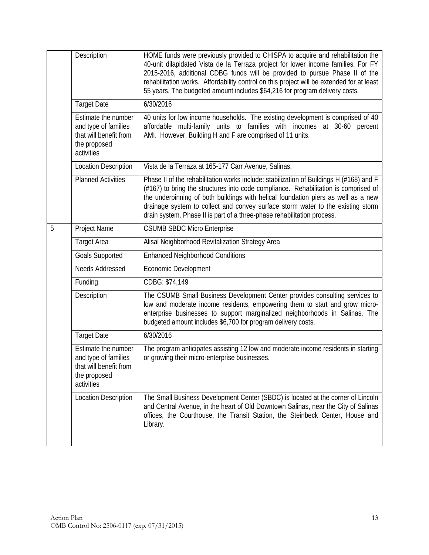|   | Description                                                                                         | HOME funds were previously provided to CHISPA to acquire and rehabilitation the<br>40-unit dilapidated Vista de la Terraza project for lower income families. For FY<br>2015-2016, additional CDBG funds will be provided to pursue Phase II of the<br>rehabilitation works. Affordability control on this project will be extended for at least<br>55 years. The budgeted amount includes \$64,216 for program delivery costs.   |
|---|-----------------------------------------------------------------------------------------------------|-----------------------------------------------------------------------------------------------------------------------------------------------------------------------------------------------------------------------------------------------------------------------------------------------------------------------------------------------------------------------------------------------------------------------------------|
|   | <b>Target Date</b>                                                                                  | 6/30/2016                                                                                                                                                                                                                                                                                                                                                                                                                         |
|   | Estimate the number<br>and type of families<br>that will benefit from<br>the proposed<br>activities | 40 units for low income households. The existing development is comprised of 40<br>affordable multi-family units to families with incomes at 30-60 percent<br>AMI. However, Building H and F are comprised of 11 units.                                                                                                                                                                                                           |
|   | <b>Location Description</b>                                                                         | Vista de la Terraza at 165-177 Carr Avenue, Salinas.                                                                                                                                                                                                                                                                                                                                                                              |
|   | <b>Planned Activities</b>                                                                           | Phase II of the rehabilitation works include: stabilization of Buildings H (#168) and F<br>(#167) to bring the structures into code compliance. Rehabilitation is comprised of<br>the underpinning of both buildings with helical foundation piers as well as a new<br>drainage system to collect and convey surface storm water to the existing storm<br>drain system. Phase II is part of a three-phase rehabilitation process. |
| 5 | Project Name                                                                                        | <b>CSUMB SBDC Micro Enterprise</b>                                                                                                                                                                                                                                                                                                                                                                                                |
|   | <b>Target Area</b>                                                                                  | Alisal Neighborhood Revitalization Strategy Area                                                                                                                                                                                                                                                                                                                                                                                  |
|   | <b>Goals Supported</b>                                                                              | <b>Enhanced Neighborhood Conditions</b>                                                                                                                                                                                                                                                                                                                                                                                           |
|   | Needs Addressed                                                                                     | <b>Economic Development</b>                                                                                                                                                                                                                                                                                                                                                                                                       |
|   | Funding                                                                                             | CDBG: \$74,149                                                                                                                                                                                                                                                                                                                                                                                                                    |
|   | Description                                                                                         | The CSUMB Small Business Development Center provides consulting services to<br>low and moderate income residents, empowering them to start and grow micro-<br>enterprise businesses to support marginalized neighborhoods in Salinas. The<br>budgeted amount includes \$6,700 for program delivery costs.                                                                                                                         |
|   | <b>Target Date</b>                                                                                  | 6/30/2016                                                                                                                                                                                                                                                                                                                                                                                                                         |
|   | Estimate the number<br>and type of families<br>that will benefit from<br>the proposed<br>activities | The program anticipates assisting 12 low and moderate income residents in starting<br>or growing their micro-enterprise businesses.                                                                                                                                                                                                                                                                                               |
|   | <b>Location Description</b>                                                                         | The Small Business Development Center (SBDC) is located at the corner of Lincoln<br>and Central Avenue, in the heart of Old Downtown Salinas, near the City of Salinas<br>offices, the Courthouse, the Transit Station, the Steinbeck Center, House and<br>Library.                                                                                                                                                               |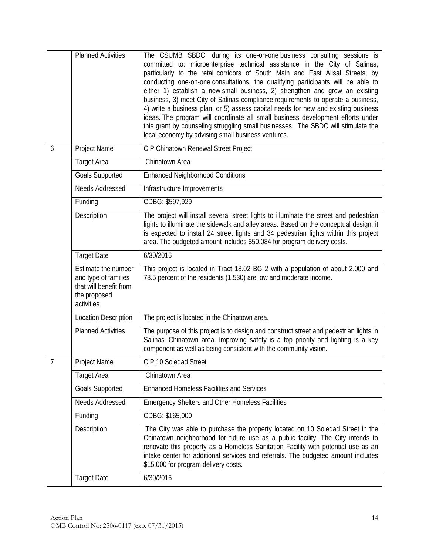|   | <b>Planned Activities</b>                                                                           | The CSUMB SBDC, during its one-on-one business consulting sessions is<br>committed to: microenterprise technical assistance in the City of Salinas,<br>particularly to the retail corridors of South Main and East Alisal Streets, by<br>conducting one-on-one consultations, the qualifying participants will be able to<br>either 1) establish a new small business, 2) strengthen and grow an existing<br>business, 3) meet City of Salinas compliance requirements to operate a business,<br>4) write a business plan, or 5) assess capital needs for new and existing business<br>ideas. The program will coordinate all small business development efforts under<br>this grant by counseling struggling small businesses. The SBDC will stimulate the<br>local economy by advising small business ventures. |
|---|-----------------------------------------------------------------------------------------------------|-------------------------------------------------------------------------------------------------------------------------------------------------------------------------------------------------------------------------------------------------------------------------------------------------------------------------------------------------------------------------------------------------------------------------------------------------------------------------------------------------------------------------------------------------------------------------------------------------------------------------------------------------------------------------------------------------------------------------------------------------------------------------------------------------------------------|
| 6 | Project Name                                                                                        | CIP Chinatown Renewal Street Project                                                                                                                                                                                                                                                                                                                                                                                                                                                                                                                                                                                                                                                                                                                                                                              |
|   | <b>Target Area</b>                                                                                  | Chinatown Area                                                                                                                                                                                                                                                                                                                                                                                                                                                                                                                                                                                                                                                                                                                                                                                                    |
|   | <b>Goals Supported</b>                                                                              | <b>Enhanced Neighborhood Conditions</b>                                                                                                                                                                                                                                                                                                                                                                                                                                                                                                                                                                                                                                                                                                                                                                           |
|   | Needs Addressed                                                                                     | Infrastructure Improvements                                                                                                                                                                                                                                                                                                                                                                                                                                                                                                                                                                                                                                                                                                                                                                                       |
|   | Funding                                                                                             | CDBG: \$597,929                                                                                                                                                                                                                                                                                                                                                                                                                                                                                                                                                                                                                                                                                                                                                                                                   |
|   | Description                                                                                         | The project will install several street lights to illuminate the street and pedestrian<br>lights to illuminate the sidewalk and alley areas. Based on the conceptual design, it<br>is expected to install 24 street lights and 34 pedestrian lights within this project<br>area. The budgeted amount includes \$50,084 for program delivery costs.                                                                                                                                                                                                                                                                                                                                                                                                                                                                |
|   | <b>Target Date</b>                                                                                  | 6/30/2016                                                                                                                                                                                                                                                                                                                                                                                                                                                                                                                                                                                                                                                                                                                                                                                                         |
|   | Estimate the number<br>and type of families<br>that will benefit from<br>the proposed<br>activities | This project is located in Tract 18.02 BG 2 with a population of about 2,000 and<br>78.5 percent of the residents (1,530) are low and moderate income.                                                                                                                                                                                                                                                                                                                                                                                                                                                                                                                                                                                                                                                            |
|   | <b>Location Description</b>                                                                         | The project is located in the Chinatown area.                                                                                                                                                                                                                                                                                                                                                                                                                                                                                                                                                                                                                                                                                                                                                                     |
|   | <b>Planned Activities</b>                                                                           | The purpose of this project is to design and construct street and pedestrian lights in<br>Salinas' Chinatown area. Improving safety is a top priority and lighting is a key<br>component as well as being consistent with the community vision.                                                                                                                                                                                                                                                                                                                                                                                                                                                                                                                                                                   |
| 7 | Project Name                                                                                        | CIP 10 Soledad Street                                                                                                                                                                                                                                                                                                                                                                                                                                                                                                                                                                                                                                                                                                                                                                                             |
|   | <b>Target Area</b>                                                                                  | Chinatown Area                                                                                                                                                                                                                                                                                                                                                                                                                                                                                                                                                                                                                                                                                                                                                                                                    |
|   | <b>Goals Supported</b>                                                                              | <b>Enhanced Homeless Facilities and Services</b>                                                                                                                                                                                                                                                                                                                                                                                                                                                                                                                                                                                                                                                                                                                                                                  |
|   | Needs Addressed                                                                                     | <b>Emergency Shelters and Other Homeless Facilities</b>                                                                                                                                                                                                                                                                                                                                                                                                                                                                                                                                                                                                                                                                                                                                                           |
|   | Funding                                                                                             | CDBG: \$165,000                                                                                                                                                                                                                                                                                                                                                                                                                                                                                                                                                                                                                                                                                                                                                                                                   |
|   | Description                                                                                         | The City was able to purchase the property located on 10 Soledad Street in the<br>Chinatown neighborhood for future use as a public facility. The City intends to<br>renovate this property as a Homeless Sanitation Facility with potential use as an<br>intake center for additional services and referrals. The budgeted amount includes<br>\$15,000 for program delivery costs.                                                                                                                                                                                                                                                                                                                                                                                                                               |
|   | <b>Target Date</b>                                                                                  | 6/30/2016                                                                                                                                                                                                                                                                                                                                                                                                                                                                                                                                                                                                                                                                                                                                                                                                         |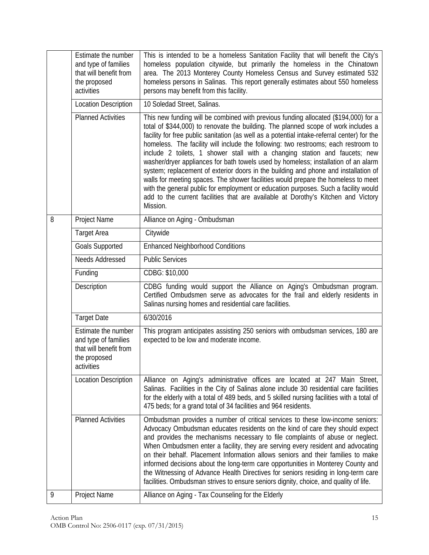|   | Estimate the number<br>and type of families                                                         | This is intended to be a homeless Sanitation Facility that will benefit the City's<br>homeless population citywide, but primarily the homeless in the Chinatown                                                                                                                                                                                                                                                                                                                                                                                                                                                                                                                                                                                                                                                                                                                                         |
|---|-----------------------------------------------------------------------------------------------------|---------------------------------------------------------------------------------------------------------------------------------------------------------------------------------------------------------------------------------------------------------------------------------------------------------------------------------------------------------------------------------------------------------------------------------------------------------------------------------------------------------------------------------------------------------------------------------------------------------------------------------------------------------------------------------------------------------------------------------------------------------------------------------------------------------------------------------------------------------------------------------------------------------|
|   | that will benefit from<br>the proposed<br>activities                                                | area. The 2013 Monterey County Homeless Census and Survey estimated 532<br>homeless persons in Salinas. This report generally estimates about 550 homeless<br>persons may benefit from this facility.                                                                                                                                                                                                                                                                                                                                                                                                                                                                                                                                                                                                                                                                                                   |
|   | <b>Location Description</b>                                                                         | 10 Soledad Street, Salinas.                                                                                                                                                                                                                                                                                                                                                                                                                                                                                                                                                                                                                                                                                                                                                                                                                                                                             |
|   | <b>Planned Activities</b>                                                                           | This new funding will be combined with previous funding allocated (\$194,000) for a<br>total of \$344,000) to renovate the building. The planned scope of work includes a<br>facility for free public sanitation (as well as a potential intake-referral center) for the<br>homeless. The facility will include the following: two restrooms; each restroom to<br>include 2 toilets, 1 shower stall with a changing station and faucets; new<br>washer/dryer appliances for bath towels used by homeless; installation of an alarm<br>system; replacement of exterior doors in the building and phone and installation of<br>walls for meeting spaces. The shower facilities would prepare the homeless to meet<br>with the general public for employment or education purposes. Such a facility would<br>add to the current facilities that are available at Dorothy's Kitchen and Victory<br>Mission. |
| 8 | Project Name                                                                                        | Alliance on Aging - Ombudsman                                                                                                                                                                                                                                                                                                                                                                                                                                                                                                                                                                                                                                                                                                                                                                                                                                                                           |
|   | <b>Target Area</b>                                                                                  | Citywide                                                                                                                                                                                                                                                                                                                                                                                                                                                                                                                                                                                                                                                                                                                                                                                                                                                                                                |
|   | <b>Goals Supported</b>                                                                              | <b>Enhanced Neighborhood Conditions</b>                                                                                                                                                                                                                                                                                                                                                                                                                                                                                                                                                                                                                                                                                                                                                                                                                                                                 |
|   | Needs Addressed                                                                                     | <b>Public Services</b>                                                                                                                                                                                                                                                                                                                                                                                                                                                                                                                                                                                                                                                                                                                                                                                                                                                                                  |
|   | Funding                                                                                             | CDBG: \$10,000                                                                                                                                                                                                                                                                                                                                                                                                                                                                                                                                                                                                                                                                                                                                                                                                                                                                                          |
|   | Description                                                                                         | CDBG funding would support the Alliance on Aging's Ombudsman program.<br>Certified Ombudsmen serve as advocates for the frail and elderly residents in<br>Salinas nursing homes and residential care facilities.                                                                                                                                                                                                                                                                                                                                                                                                                                                                                                                                                                                                                                                                                        |
|   | <b>Target Date</b>                                                                                  | 6/30/2016                                                                                                                                                                                                                                                                                                                                                                                                                                                                                                                                                                                                                                                                                                                                                                                                                                                                                               |
|   | Estimate the number<br>and type of families<br>that will benefit from<br>the proposed<br>activities | This program anticipates assisting 250 seniors with ombudsman services, 180 are<br>expected to be low and moderate income.                                                                                                                                                                                                                                                                                                                                                                                                                                                                                                                                                                                                                                                                                                                                                                              |
|   | <b>Location Description</b>                                                                         | Alliance on Aging's administrative offices are located at 247 Main Street,<br>Salinas. Facilities in the City of Salinas alone include 30 residential care facilities<br>for the elderly with a total of 489 beds, and 5 skilled nursing facilities with a total of<br>475 beds; for a grand total of 34 facilities and 964 residents.                                                                                                                                                                                                                                                                                                                                                                                                                                                                                                                                                                  |
|   | <b>Planned Activities</b>                                                                           | Ombudsman provides a number of critical services to these low-income seniors:<br>Advocacy Ombudsman educates residents on the kind of care they should expect<br>and provides the mechanisms necessary to file complaints of abuse or neglect.<br>When Ombudsmen enter a facility, they are serving every resident and advocating<br>on their behalf. Placement Information allows seniors and their families to make<br>informed decisions about the long-term care opportunities in Monterey County and<br>the Witnessing of Advance Health Directives for seniors residing in long-term care<br>facilities. Ombudsman strives to ensure seniors dignity, choice, and quality of life.                                                                                                                                                                                                                |
| 9 | Project Name                                                                                        | Alliance on Aging - Tax Counseling for the Elderly                                                                                                                                                                                                                                                                                                                                                                                                                                                                                                                                                                                                                                                                                                                                                                                                                                                      |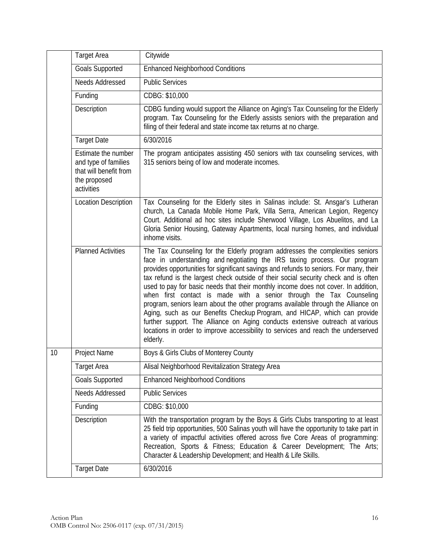|    | <b>Target Area</b>                                                                                  | Citywide                                                                                                                                                                                                                                                                                                                                                                                                                                                                                                                                                                                                                                                                                                                                                                                                                                                     |
|----|-----------------------------------------------------------------------------------------------------|--------------------------------------------------------------------------------------------------------------------------------------------------------------------------------------------------------------------------------------------------------------------------------------------------------------------------------------------------------------------------------------------------------------------------------------------------------------------------------------------------------------------------------------------------------------------------------------------------------------------------------------------------------------------------------------------------------------------------------------------------------------------------------------------------------------------------------------------------------------|
|    | <b>Goals Supported</b>                                                                              | <b>Enhanced Neighborhood Conditions</b>                                                                                                                                                                                                                                                                                                                                                                                                                                                                                                                                                                                                                                                                                                                                                                                                                      |
|    | Needs Addressed                                                                                     | <b>Public Services</b>                                                                                                                                                                                                                                                                                                                                                                                                                                                                                                                                                                                                                                                                                                                                                                                                                                       |
|    | Funding                                                                                             | CDBG: \$10,000                                                                                                                                                                                                                                                                                                                                                                                                                                                                                                                                                                                                                                                                                                                                                                                                                                               |
|    | Description                                                                                         | CDBG funding would support the Alliance on Aging's Tax Counseling for the Elderly<br>program. Tax Counseling for the Elderly assists seniors with the preparation and<br>filing of their federal and state income tax returns at no charge.                                                                                                                                                                                                                                                                                                                                                                                                                                                                                                                                                                                                                  |
|    | <b>Target Date</b>                                                                                  | 6/30/2016                                                                                                                                                                                                                                                                                                                                                                                                                                                                                                                                                                                                                                                                                                                                                                                                                                                    |
|    | Estimate the number<br>and type of families<br>that will benefit from<br>the proposed<br>activities | The program anticipates assisting 450 seniors with tax counseling services, with<br>315 seniors being of low and moderate incomes.                                                                                                                                                                                                                                                                                                                                                                                                                                                                                                                                                                                                                                                                                                                           |
|    | <b>Location Description</b>                                                                         | Tax Counseling for the Elderly sites in Salinas include: St. Ansgar's Lutheran<br>church, La Canada Mobile Home Park, Villa Serra, American Legion, Regency<br>Court. Additional ad hoc sites include Sherwood Village, Los Abuelitos, and La<br>Gloria Senior Housing, Gateway Apartments, local nursing homes, and individual<br>inhome visits.                                                                                                                                                                                                                                                                                                                                                                                                                                                                                                            |
|    | <b>Planned Activities</b>                                                                           | The Tax Counseling for the Elderly program addresses the complexities seniors<br>face in understanding and negotiating the IRS taxing process. Our program<br>provides opportunities for significant savings and refunds to seniors. For many, their<br>tax refund is the largest check outside of their social security check and is often<br>used to pay for basic needs that their monthly income does not cover. In addition,<br>when first contact is made with a senior through the Tax Counseling<br>program, seniors learn about the other programs available through the Alliance on<br>Aging, such as our Benefits Checkup Program, and HICAP, which can provide<br>further support. The Alliance on Aging conducts extensive outreach at various<br>locations in order to improve accessibility to services and reach the underserved<br>elderly. |
| 10 | Project Name                                                                                        | Boys & Girls Clubs of Monterey County                                                                                                                                                                                                                                                                                                                                                                                                                                                                                                                                                                                                                                                                                                                                                                                                                        |
|    | Target Area                                                                                         | Alisal Neighborhood Revitalization Strategy Area                                                                                                                                                                                                                                                                                                                                                                                                                                                                                                                                                                                                                                                                                                                                                                                                             |
|    | <b>Goals Supported</b>                                                                              | <b>Enhanced Neighborhood Conditions</b>                                                                                                                                                                                                                                                                                                                                                                                                                                                                                                                                                                                                                                                                                                                                                                                                                      |
|    | Needs Addressed                                                                                     | <b>Public Services</b>                                                                                                                                                                                                                                                                                                                                                                                                                                                                                                                                                                                                                                                                                                                                                                                                                                       |
|    | Funding                                                                                             | CDBG: \$10,000                                                                                                                                                                                                                                                                                                                                                                                                                                                                                                                                                                                                                                                                                                                                                                                                                                               |
|    | Description                                                                                         | With the transportation program by the Boys & Girls Clubs transporting to at least<br>25 field trip opportunities, 500 Salinas youth will have the opportunity to take part in<br>a variety of impactful activities offered across five Core Areas of programming:<br>Recreation, Sports & Fitness; Education & Career Development; The Arts;<br>Character & Leadership Development; and Health & Life Skills.                                                                                                                                                                                                                                                                                                                                                                                                                                               |
|    | <b>Target Date</b>                                                                                  | 6/30/2016                                                                                                                                                                                                                                                                                                                                                                                                                                                                                                                                                                                                                                                                                                                                                                                                                                                    |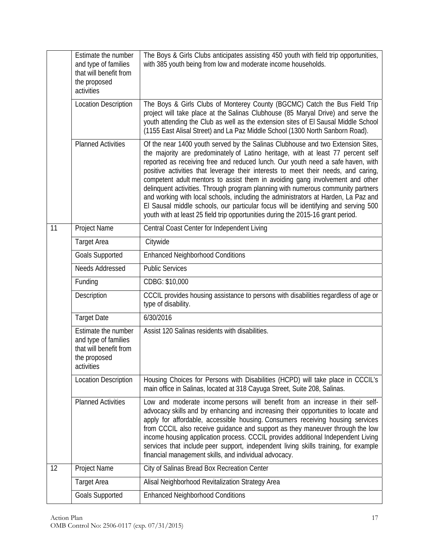|    | Estimate the number<br>and type of families<br>that will benefit from<br>the proposed<br>activities | The Boys & Girls Clubs anticipates assisting 450 youth with field trip opportunities,<br>with 385 youth being from low and moderate income households.                                                                                                                                                                                                                                                                                                                                                                                                                                                                                                                                                                                                                            |
|----|-----------------------------------------------------------------------------------------------------|-----------------------------------------------------------------------------------------------------------------------------------------------------------------------------------------------------------------------------------------------------------------------------------------------------------------------------------------------------------------------------------------------------------------------------------------------------------------------------------------------------------------------------------------------------------------------------------------------------------------------------------------------------------------------------------------------------------------------------------------------------------------------------------|
|    | <b>Location Description</b>                                                                         | The Boys & Girls Clubs of Monterey County (BGCMC) Catch the Bus Field Trip<br>project will take place at the Salinas Clubhouse (85 Maryal Drive) and serve the<br>youth attending the Club as well as the extension sites of El Sausal Middle School<br>(1155 East Alisal Street) and La Paz Middle School (1300 North Sanborn Road).                                                                                                                                                                                                                                                                                                                                                                                                                                             |
|    | <b>Planned Activities</b>                                                                           | Of the near 1400 youth served by the Salinas Clubhouse and two Extension Sites,<br>the majority are predominately of Latino heritage, with at least 77 percent self<br>reported as receiving free and reduced lunch. Our youth need a safe haven, with<br>positive activities that leverage their interests to meet their needs, and caring,<br>competent adult mentors to assist them in avoiding gang involvement and other<br>delinquent activities. Through program planning with numerous community partners<br>and working with local schools, including the administrators at Harden, La Paz and<br>El Sausal middle schools, our particular focus will be identifying and serving 500<br>youth with at least 25 field trip opportunities during the 2015-16 grant period. |
| 11 | Project Name                                                                                        | Central Coast Center for Independent Living                                                                                                                                                                                                                                                                                                                                                                                                                                                                                                                                                                                                                                                                                                                                       |
|    | <b>Target Area</b>                                                                                  | Citywide                                                                                                                                                                                                                                                                                                                                                                                                                                                                                                                                                                                                                                                                                                                                                                          |
|    | <b>Goals Supported</b>                                                                              | <b>Enhanced Neighborhood Conditions</b>                                                                                                                                                                                                                                                                                                                                                                                                                                                                                                                                                                                                                                                                                                                                           |
|    | Needs Addressed                                                                                     | <b>Public Services</b>                                                                                                                                                                                                                                                                                                                                                                                                                                                                                                                                                                                                                                                                                                                                                            |
|    | Funding                                                                                             | CDBG: \$10,000                                                                                                                                                                                                                                                                                                                                                                                                                                                                                                                                                                                                                                                                                                                                                                    |
|    | Description                                                                                         | CCCIL provides housing assistance to persons with disabilities regardless of age or<br>type of disability.                                                                                                                                                                                                                                                                                                                                                                                                                                                                                                                                                                                                                                                                        |
|    | <b>Target Date</b>                                                                                  | 6/30/2016                                                                                                                                                                                                                                                                                                                                                                                                                                                                                                                                                                                                                                                                                                                                                                         |
|    | Estimate the number<br>and type of families<br>that will benefit from<br>the proposed<br>activities | Assist 120 Salinas residents with disabilities.                                                                                                                                                                                                                                                                                                                                                                                                                                                                                                                                                                                                                                                                                                                                   |
|    | <b>Location Description</b>                                                                         | Housing Choices for Persons with Disabilities (HCPD) will take place in CCCIL's<br>main office in Salinas, located at 318 Cayuga Street, Suite 208, Salinas.                                                                                                                                                                                                                                                                                                                                                                                                                                                                                                                                                                                                                      |
|    | <b>Planned Activities</b>                                                                           | Low and moderate income persons will benefit from an increase in their self-<br>advocacy skills and by enhancing and increasing their opportunities to locate and<br>apply for affordable, accessible housing. Consumers receiving housing services<br>from CCCIL also receive guidance and support as they maneuver through the low<br>income housing application process. CCCIL provides additional Independent Living<br>services that include peer support, independent living skills training, for example<br>financial management skills, and individual advocacy.                                                                                                                                                                                                          |
| 12 | Project Name                                                                                        | City of Salinas Bread Box Recreation Center                                                                                                                                                                                                                                                                                                                                                                                                                                                                                                                                                                                                                                                                                                                                       |
|    | <b>Target Area</b>                                                                                  | Alisal Neighborhood Revitalization Strategy Area                                                                                                                                                                                                                                                                                                                                                                                                                                                                                                                                                                                                                                                                                                                                  |
|    | <b>Goals Supported</b>                                                                              | <b>Enhanced Neighborhood Conditions</b>                                                                                                                                                                                                                                                                                                                                                                                                                                                                                                                                                                                                                                                                                                                                           |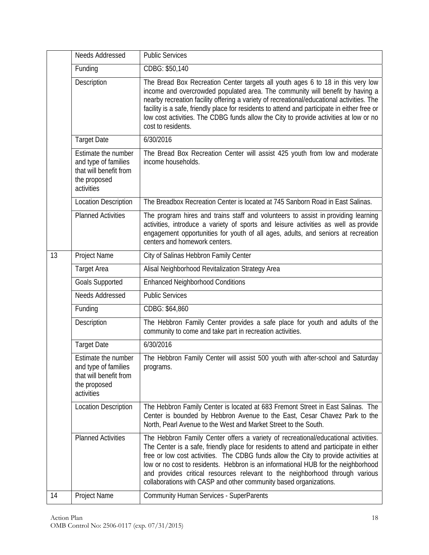|    | Needs Addressed                                                                                     | <b>Public Services</b>                                                                                                                                                                                                                                                                                                                                                                                                                                                                                        |
|----|-----------------------------------------------------------------------------------------------------|---------------------------------------------------------------------------------------------------------------------------------------------------------------------------------------------------------------------------------------------------------------------------------------------------------------------------------------------------------------------------------------------------------------------------------------------------------------------------------------------------------------|
|    | Funding                                                                                             | CDBG: \$50,140                                                                                                                                                                                                                                                                                                                                                                                                                                                                                                |
|    | Description                                                                                         | The Bread Box Recreation Center targets all youth ages 6 to 18 in this very low<br>income and overcrowded populated area. The community will benefit by having a<br>nearby recreation facility offering a variety of recreational/educational activities. The<br>facility is a safe, friendly place for residents to attend and participate in either free or<br>low cost activities. The CDBG funds allow the City to provide activities at low or no<br>cost to residents.                                  |
|    | <b>Target Date</b>                                                                                  | 6/30/2016                                                                                                                                                                                                                                                                                                                                                                                                                                                                                                     |
|    | Estimate the number<br>and type of families<br>that will benefit from<br>the proposed<br>activities | The Bread Box Recreation Center will assist 425 youth from low and moderate<br>income households.                                                                                                                                                                                                                                                                                                                                                                                                             |
|    | <b>Location Description</b>                                                                         | The Breadbox Recreation Center is located at 745 Sanborn Road in East Salinas.                                                                                                                                                                                                                                                                                                                                                                                                                                |
|    | <b>Planned Activities</b>                                                                           | The program hires and trains staff and volunteers to assist in providing learning<br>activities, introduce a variety of sports and leisure activities as well as provide<br>engagement opportunities for youth of all ages, adults, and seniors at recreation<br>centers and homework centers.                                                                                                                                                                                                                |
| 13 | Project Name                                                                                        | City of Salinas Hebbron Family Center                                                                                                                                                                                                                                                                                                                                                                                                                                                                         |
|    | Target Area                                                                                         | Alisal Neighborhood Revitalization Strategy Area                                                                                                                                                                                                                                                                                                                                                                                                                                                              |
|    | <b>Goals Supported</b>                                                                              | <b>Enhanced Neighborhood Conditions</b>                                                                                                                                                                                                                                                                                                                                                                                                                                                                       |
|    | Needs Addressed                                                                                     | <b>Public Services</b>                                                                                                                                                                                                                                                                                                                                                                                                                                                                                        |
|    | Funding                                                                                             | CDBG: \$64,860                                                                                                                                                                                                                                                                                                                                                                                                                                                                                                |
|    | Description                                                                                         | The Hebbron Family Center provides a safe place for youth and adults of the<br>community to come and take part in recreation activities.                                                                                                                                                                                                                                                                                                                                                                      |
|    | <b>Target Date</b>                                                                                  | 6/30/2016                                                                                                                                                                                                                                                                                                                                                                                                                                                                                                     |
|    | Estimate the number<br>and type of families<br>that will benefit from<br>the proposed<br>activities | The Hebbron Family Center will assist 500 youth with after-school and Saturday<br>programs.                                                                                                                                                                                                                                                                                                                                                                                                                   |
|    | <b>Location Description</b>                                                                         | The Hebbron Family Center is located at 683 Fremont Street in East Salinas. The<br>Center is bounded by Hebbron Avenue to the East, Cesar Chavez Park to the<br>North, Pearl Avenue to the West and Market Street to the South.                                                                                                                                                                                                                                                                               |
|    | <b>Planned Activities</b>                                                                           | The Hebbron Family Center offers a variety of recreational/educational activities.<br>The Center is a safe, friendly place for residents to attend and participate in either<br>free or low cost activities. The CDBG funds allow the City to provide activities at<br>low or no cost to residents. Hebbron is an informational HUB for the neighborhood<br>and provides critical resources relevant to the neighborhood through various<br>collaborations with CASP and other community based organizations. |
| 14 | Project Name                                                                                        | <b>Community Human Services - SuperParents</b>                                                                                                                                                                                                                                                                                                                                                                                                                                                                |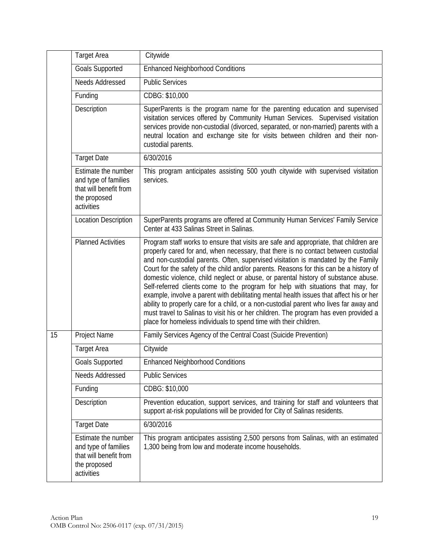|    | <b>Target Area</b>                                                                                  | Citywide                                                                                                                                                                                                                                                                                                                                                                                                                                                                                                                                                                                                                                                                                                                                                                                                                                                                               |
|----|-----------------------------------------------------------------------------------------------------|----------------------------------------------------------------------------------------------------------------------------------------------------------------------------------------------------------------------------------------------------------------------------------------------------------------------------------------------------------------------------------------------------------------------------------------------------------------------------------------------------------------------------------------------------------------------------------------------------------------------------------------------------------------------------------------------------------------------------------------------------------------------------------------------------------------------------------------------------------------------------------------|
|    | <b>Goals Supported</b>                                                                              | <b>Enhanced Neighborhood Conditions</b>                                                                                                                                                                                                                                                                                                                                                                                                                                                                                                                                                                                                                                                                                                                                                                                                                                                |
|    | Needs Addressed                                                                                     | <b>Public Services</b>                                                                                                                                                                                                                                                                                                                                                                                                                                                                                                                                                                                                                                                                                                                                                                                                                                                                 |
|    | Funding                                                                                             | CDBG: \$10,000                                                                                                                                                                                                                                                                                                                                                                                                                                                                                                                                                                                                                                                                                                                                                                                                                                                                         |
|    | Description                                                                                         | SuperParents is the program name for the parenting education and supervised<br>visitation services offered by Community Human Services. Supervised visitation<br>services provide non-custodial (divorced, separated, or non-married) parents with a<br>neutral location and exchange site for visits between children and their non-<br>custodial parents.                                                                                                                                                                                                                                                                                                                                                                                                                                                                                                                            |
|    | <b>Target Date</b>                                                                                  | 6/30/2016                                                                                                                                                                                                                                                                                                                                                                                                                                                                                                                                                                                                                                                                                                                                                                                                                                                                              |
|    | Estimate the number<br>and type of families<br>that will benefit from<br>the proposed<br>activities | This program anticipates assisting 500 youth citywide with supervised visitation<br>services.                                                                                                                                                                                                                                                                                                                                                                                                                                                                                                                                                                                                                                                                                                                                                                                          |
|    | <b>Location Description</b>                                                                         | SuperParents programs are offered at Community Human Services' Family Service<br>Center at 433 Salinas Street in Salinas.                                                                                                                                                                                                                                                                                                                                                                                                                                                                                                                                                                                                                                                                                                                                                              |
|    | <b>Planned Activities</b>                                                                           | Program staff works to ensure that visits are safe and appropriate, that children are<br>properly cared for and, when necessary, that there is no contact between custodial<br>and non-custodial parents. Often, supervised visitation is mandated by the Family<br>Court for the safety of the child and/or parents. Reasons for this can be a history of<br>domestic violence, child neglect or abuse, or parental history of substance abuse.<br>Self-referred clients come to the program for help with situations that may, for<br>example, involve a parent with debilitating mental health issues that affect his or her<br>ability to properly care for a child, or a non-custodial parent who lives far away and<br>must travel to Salinas to visit his or her children. The program has even provided a<br>place for homeless individuals to spend time with their children. |
| 15 | Project Name                                                                                        | Family Services Agency of the Central Coast (Suicide Prevention)                                                                                                                                                                                                                                                                                                                                                                                                                                                                                                                                                                                                                                                                                                                                                                                                                       |
|    | <b>Target Area</b>                                                                                  | Citywide                                                                                                                                                                                                                                                                                                                                                                                                                                                                                                                                                                                                                                                                                                                                                                                                                                                                               |
|    | <b>Goals Supported</b>                                                                              | <b>Enhanced Neighborhood Conditions</b>                                                                                                                                                                                                                                                                                                                                                                                                                                                                                                                                                                                                                                                                                                                                                                                                                                                |
|    | Needs Addressed                                                                                     | <b>Public Services</b>                                                                                                                                                                                                                                                                                                                                                                                                                                                                                                                                                                                                                                                                                                                                                                                                                                                                 |
|    | Funding                                                                                             | CDBG: \$10,000                                                                                                                                                                                                                                                                                                                                                                                                                                                                                                                                                                                                                                                                                                                                                                                                                                                                         |
|    | Description                                                                                         | Prevention education, support services, and training for staff and volunteers that<br>support at-risk populations will be provided for City of Salinas residents.                                                                                                                                                                                                                                                                                                                                                                                                                                                                                                                                                                                                                                                                                                                      |
|    | <b>Target Date</b>                                                                                  | 6/30/2016                                                                                                                                                                                                                                                                                                                                                                                                                                                                                                                                                                                                                                                                                                                                                                                                                                                                              |
|    | Estimate the number<br>and type of families<br>that will benefit from<br>the proposed<br>activities | This program anticipates assisting 2,500 persons from Salinas, with an estimated<br>1,300 being from low and moderate income households.                                                                                                                                                                                                                                                                                                                                                                                                                                                                                                                                                                                                                                                                                                                                               |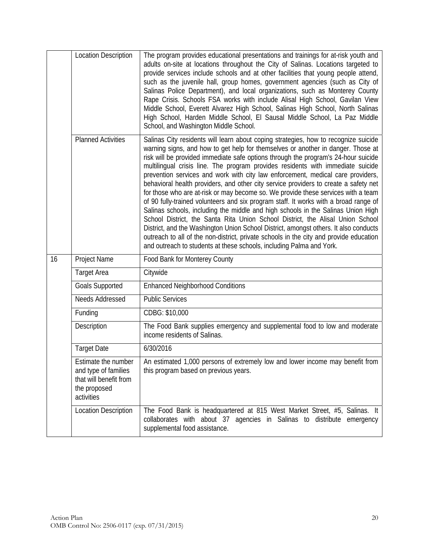|    | <b>Location Description</b>                                                                         | The program provides educational presentations and trainings for at-risk youth and<br>adults on-site at locations throughout the City of Salinas. Locations targeted to<br>provide services include schools and at other facilities that young people attend,<br>such as the juvenile hall, group homes, government agencies (such as City of<br>Salinas Police Department), and local organizations, such as Monterey County<br>Rape Crisis. Schools FSA works with include Alisal High School, Gavilan View<br>Middle School, Everett Alvarez High School, Salinas High School, North Salinas<br>High School, Harden Middle School, El Sausal Middle School, La Paz Middle<br>School, and Washington Middle School.                                                                                                                                                                                                                                                                                                                                                                                                                    |
|----|-----------------------------------------------------------------------------------------------------|------------------------------------------------------------------------------------------------------------------------------------------------------------------------------------------------------------------------------------------------------------------------------------------------------------------------------------------------------------------------------------------------------------------------------------------------------------------------------------------------------------------------------------------------------------------------------------------------------------------------------------------------------------------------------------------------------------------------------------------------------------------------------------------------------------------------------------------------------------------------------------------------------------------------------------------------------------------------------------------------------------------------------------------------------------------------------------------------------------------------------------------|
|    | <b>Planned Activities</b>                                                                           | Salinas City residents will learn about coping strategies, how to recognize suicide<br>warning signs, and how to get help for themselves or another in danger. Those at<br>risk will be provided immediate safe options through the program's 24-hour suicide<br>multilingual crisis line. The program provides residents with immediate suicide<br>prevention services and work with city law enforcement, medical care providers,<br>behavioral health providers, and other city service providers to create a safety net<br>for those who are at-risk or may become so. We provide these services with a team<br>of 90 fully-trained volunteers and six program staff. It works with a broad range of<br>Salinas schools, including the middle and high schools in the Salinas Union High<br>School District, the Santa Rita Union School District, the Alisal Union School<br>District, and the Washington Union School District, amongst others. It also conducts<br>outreach to all of the non-district, private schools in the city and provide education<br>and outreach to students at these schools, including Palma and York. |
| 16 | Project Name                                                                                        | Food Bank for Monterey County                                                                                                                                                                                                                                                                                                                                                                                                                                                                                                                                                                                                                                                                                                                                                                                                                                                                                                                                                                                                                                                                                                            |
|    | <b>Target Area</b>                                                                                  | Citywide                                                                                                                                                                                                                                                                                                                                                                                                                                                                                                                                                                                                                                                                                                                                                                                                                                                                                                                                                                                                                                                                                                                                 |
|    | <b>Goals Supported</b>                                                                              | <b>Enhanced Neighborhood Conditions</b>                                                                                                                                                                                                                                                                                                                                                                                                                                                                                                                                                                                                                                                                                                                                                                                                                                                                                                                                                                                                                                                                                                  |
|    | <b>Needs Addressed</b>                                                                              | <b>Public Services</b>                                                                                                                                                                                                                                                                                                                                                                                                                                                                                                                                                                                                                                                                                                                                                                                                                                                                                                                                                                                                                                                                                                                   |
|    | Funding                                                                                             | CDBG: \$10,000                                                                                                                                                                                                                                                                                                                                                                                                                                                                                                                                                                                                                                                                                                                                                                                                                                                                                                                                                                                                                                                                                                                           |
|    | Description                                                                                         | The Food Bank supplies emergency and supplemental food to low and moderate<br>income residents of Salinas.                                                                                                                                                                                                                                                                                                                                                                                                                                                                                                                                                                                                                                                                                                                                                                                                                                                                                                                                                                                                                               |
|    | <b>Target Date</b>                                                                                  | 6/30/2016                                                                                                                                                                                                                                                                                                                                                                                                                                                                                                                                                                                                                                                                                                                                                                                                                                                                                                                                                                                                                                                                                                                                |
|    | Estimate the number<br>and type of families<br>that will benefit from<br>the proposed<br>activities | An estimated 1,000 persons of extremely low and lower income may benefit from<br>this program based on previous years.                                                                                                                                                                                                                                                                                                                                                                                                                                                                                                                                                                                                                                                                                                                                                                                                                                                                                                                                                                                                                   |
|    | <b>Location Description</b>                                                                         | The Food Bank is headquartered at 815 West Market Street, #5, Salinas. It<br>collaborates with about 37 agencies in Salinas to distribute emergency<br>supplemental food assistance.                                                                                                                                                                                                                                                                                                                                                                                                                                                                                                                                                                                                                                                                                                                                                                                                                                                                                                                                                     |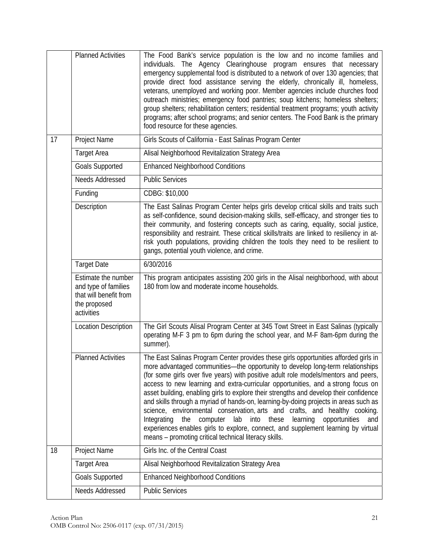|    | <b>Planned Activities</b>                                                                           | The Food Bank's service population is the low and no income families and<br>individuals. The Agency Clearinghouse program ensures that necessary<br>emergency supplemental food is distributed to a network of over 130 agencies; that<br>provide direct food assistance serving the elderly, chronically ill, homeless,<br>veterans, unemployed and working poor. Member agencies include churches food<br>outreach ministries; emergency food pantries; soup kitchens; homeless shelters;<br>group shelters; rehabilitation centers; residential treatment programs; youth activity<br>programs; after school programs; and senior centers. The Food Bank is the primary<br>food resource for these agencies.                                                                                                                                            |
|----|-----------------------------------------------------------------------------------------------------|------------------------------------------------------------------------------------------------------------------------------------------------------------------------------------------------------------------------------------------------------------------------------------------------------------------------------------------------------------------------------------------------------------------------------------------------------------------------------------------------------------------------------------------------------------------------------------------------------------------------------------------------------------------------------------------------------------------------------------------------------------------------------------------------------------------------------------------------------------|
| 17 | Project Name                                                                                        | Girls Scouts of California - East Salinas Program Center                                                                                                                                                                                                                                                                                                                                                                                                                                                                                                                                                                                                                                                                                                                                                                                                   |
|    | <b>Target Area</b>                                                                                  | Alisal Neighborhood Revitalization Strategy Area                                                                                                                                                                                                                                                                                                                                                                                                                                                                                                                                                                                                                                                                                                                                                                                                           |
|    | <b>Goals Supported</b>                                                                              | <b>Enhanced Neighborhood Conditions</b>                                                                                                                                                                                                                                                                                                                                                                                                                                                                                                                                                                                                                                                                                                                                                                                                                    |
|    | Needs Addressed                                                                                     | <b>Public Services</b>                                                                                                                                                                                                                                                                                                                                                                                                                                                                                                                                                                                                                                                                                                                                                                                                                                     |
|    | Funding                                                                                             | CDBG: \$10,000                                                                                                                                                                                                                                                                                                                                                                                                                                                                                                                                                                                                                                                                                                                                                                                                                                             |
|    | Description                                                                                         | The East Salinas Program Center helps girls develop critical skills and traits such<br>as self-confidence, sound decision-making skills, self-efficacy, and stronger ties to<br>their community, and fostering concepts such as caring, equality, social justice,<br>responsibility and restraint. These critical skills/traits are linked to resiliency in at-<br>risk youth populations, providing children the tools they need to be resilient to<br>gangs, potential youth violence, and crime.                                                                                                                                                                                                                                                                                                                                                        |
|    | <b>Target Date</b>                                                                                  | 6/30/2016                                                                                                                                                                                                                                                                                                                                                                                                                                                                                                                                                                                                                                                                                                                                                                                                                                                  |
|    | Estimate the number<br>and type of families<br>that will benefit from<br>the proposed<br>activities | This program anticipates assisting 200 girls in the Alisal neighborhood, with about<br>180 from low and moderate income households.                                                                                                                                                                                                                                                                                                                                                                                                                                                                                                                                                                                                                                                                                                                        |
|    | <b>Location Description</b>                                                                         | The Girl Scouts Alisal Program Center at 345 Towt Street in East Salinas (typically                                                                                                                                                                                                                                                                                                                                                                                                                                                                                                                                                                                                                                                                                                                                                                        |
|    |                                                                                                     | operating M-F 3 pm to 6pm during the school year, and M-F 8am-6pm during the<br>summer).                                                                                                                                                                                                                                                                                                                                                                                                                                                                                                                                                                                                                                                                                                                                                                   |
|    | <b>Planned Activities</b>                                                                           | The East Salinas Program Center provides these girls opportunities afforded girls in<br>more advantaged communities—the opportunity to develop long-term relationships<br>(for some girls over five years) with positive adult role models/mentors and peers,<br>access to new learning and extra-curricular opportunities, and a strong focus on<br>asset building, enabling girls to explore their strengths and develop their confidence<br>and skills through a myriad of hands-on, learning-by-doing projects in areas such as<br>science, environmental conservation, arts and crafts, and healthy cooking.<br>Integrating<br>the<br>computer<br>lab<br>into these<br>learning<br>opportunities<br>and<br>experiences enables girls to explore, connect, and supplement learning by virtual<br>means - promoting critical technical literacy skills. |
| 18 | Project Name                                                                                        | Girls Inc. of the Central Coast                                                                                                                                                                                                                                                                                                                                                                                                                                                                                                                                                                                                                                                                                                                                                                                                                            |
|    | <b>Target Area</b>                                                                                  | Alisal Neighborhood Revitalization Strategy Area                                                                                                                                                                                                                                                                                                                                                                                                                                                                                                                                                                                                                                                                                                                                                                                                           |
|    | <b>Goals Supported</b>                                                                              | <b>Enhanced Neighborhood Conditions</b>                                                                                                                                                                                                                                                                                                                                                                                                                                                                                                                                                                                                                                                                                                                                                                                                                    |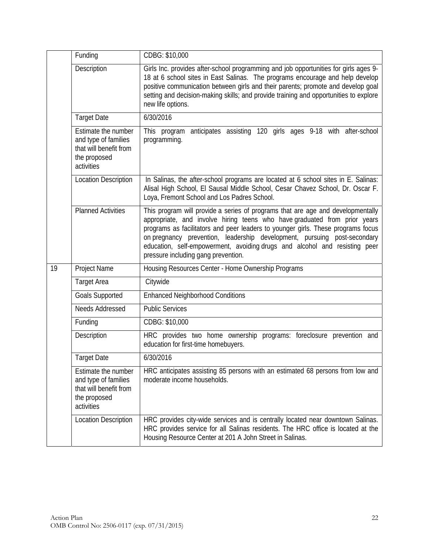|    | Funding                                                                                             | CDBG: \$10,000                                                                                                                                                                                                                                                                                                                                                                                                                                    |
|----|-----------------------------------------------------------------------------------------------------|---------------------------------------------------------------------------------------------------------------------------------------------------------------------------------------------------------------------------------------------------------------------------------------------------------------------------------------------------------------------------------------------------------------------------------------------------|
|    | Description                                                                                         | Girls Inc. provides after-school programming and job opportunities for girls ages 9-<br>18 at 6 school sites in East Salinas. The programs encourage and help develop<br>positive communication between girls and their parents; promote and develop goal<br>setting and decision-making skills; and provide training and opportunities to explore<br>new life options.                                                                           |
|    | <b>Target Date</b>                                                                                  | 6/30/2016                                                                                                                                                                                                                                                                                                                                                                                                                                         |
|    | Estimate the number<br>and type of families<br>that will benefit from<br>the proposed<br>activities | This program anticipates assisting 120 girls ages 9-18 with after-school<br>programming.                                                                                                                                                                                                                                                                                                                                                          |
|    | <b>Location Description</b>                                                                         | In Salinas, the after-school programs are located at 6 school sites in E. Salinas:<br>Alisal High School, El Sausal Middle School, Cesar Chavez School, Dr. Oscar F.<br>Loya, Fremont School and Los Padres School.                                                                                                                                                                                                                               |
|    | <b>Planned Activities</b>                                                                           | This program will provide a series of programs that are age and developmentally<br>appropriate, and involve hiring teens who have graduated from prior years<br>programs as facilitators and peer leaders to younger girls. These programs focus<br>on pregnancy prevention, leadership development, pursuing post-secondary<br>education, self-empowerment, avoiding drugs and alcohol and resisting peer<br>pressure including gang prevention. |
| 19 | Project Name                                                                                        | Housing Resources Center - Home Ownership Programs                                                                                                                                                                                                                                                                                                                                                                                                |
|    | <b>Target Area</b>                                                                                  | Citywide                                                                                                                                                                                                                                                                                                                                                                                                                                          |
|    | <b>Goals Supported</b>                                                                              | <b>Enhanced Neighborhood Conditions</b>                                                                                                                                                                                                                                                                                                                                                                                                           |
|    | Needs Addressed                                                                                     | <b>Public Services</b>                                                                                                                                                                                                                                                                                                                                                                                                                            |
|    | Funding                                                                                             | CDBG: \$10,000                                                                                                                                                                                                                                                                                                                                                                                                                                    |
|    | Description                                                                                         | HRC provides two home ownership programs: foreclosure prevention and<br>education for first-time homebuyers.                                                                                                                                                                                                                                                                                                                                      |
|    | <b>Target Date</b>                                                                                  | 6/30/2016                                                                                                                                                                                                                                                                                                                                                                                                                                         |
|    | Estimate the number<br>and type of families<br>that will benefit from<br>the proposed<br>activities | HRC anticipates assisting 85 persons with an estimated 68 persons from low and<br>moderate income households.                                                                                                                                                                                                                                                                                                                                     |
|    | <b>Location Description</b>                                                                         | HRC provides city-wide services and is centrally located near downtown Salinas.<br>HRC provides service for all Salinas residents. The HRC office is located at the<br>Housing Resource Center at 201 A John Street in Salinas.                                                                                                                                                                                                                   |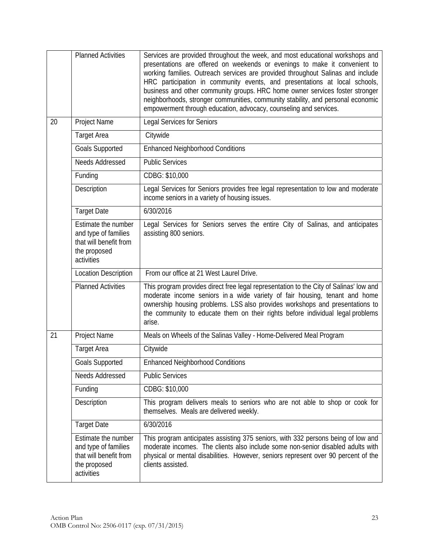|    | <b>Planned Activities</b>                                                                           | Services are provided throughout the week, and most educational workshops and<br>presentations are offered on weekends or evenings to make it convenient to<br>working families. Outreach services are provided throughout Salinas and include<br>HRC participation in community events, and presentations at local schools,<br>business and other community groups. HRC home owner services foster stronger<br>neighborhoods, stronger communities, community stability, and personal economic<br>empowerment through education, advocacy, counseling and services. |
|----|-----------------------------------------------------------------------------------------------------|----------------------------------------------------------------------------------------------------------------------------------------------------------------------------------------------------------------------------------------------------------------------------------------------------------------------------------------------------------------------------------------------------------------------------------------------------------------------------------------------------------------------------------------------------------------------|
| 20 | Project Name                                                                                        | <b>Legal Services for Seniors</b>                                                                                                                                                                                                                                                                                                                                                                                                                                                                                                                                    |
|    | <b>Target Area</b>                                                                                  | Citywide                                                                                                                                                                                                                                                                                                                                                                                                                                                                                                                                                             |
|    | Goals Supported                                                                                     | <b>Enhanced Neighborhood Conditions</b>                                                                                                                                                                                                                                                                                                                                                                                                                                                                                                                              |
|    | Needs Addressed                                                                                     | <b>Public Services</b>                                                                                                                                                                                                                                                                                                                                                                                                                                                                                                                                               |
|    | Funding                                                                                             | CDBG: \$10,000                                                                                                                                                                                                                                                                                                                                                                                                                                                                                                                                                       |
|    | Description                                                                                         | Legal Services for Seniors provides free legal representation to low and moderate<br>income seniors in a variety of housing issues.                                                                                                                                                                                                                                                                                                                                                                                                                                  |
|    | <b>Target Date</b>                                                                                  | 6/30/2016                                                                                                                                                                                                                                                                                                                                                                                                                                                                                                                                                            |
|    | Estimate the number<br>and type of families<br>that will benefit from<br>the proposed<br>activities | Legal Services for Seniors serves the entire City of Salinas, and anticipates<br>assisting 800 seniors.                                                                                                                                                                                                                                                                                                                                                                                                                                                              |
|    | <b>Location Description</b>                                                                         | From our office at 21 West Laurel Drive.                                                                                                                                                                                                                                                                                                                                                                                                                                                                                                                             |
|    | <b>Planned Activities</b>                                                                           | This program provides direct free legal representation to the City of Salinas' low and<br>moderate income seniors in a wide variety of fair housing, tenant and home<br>ownership housing problems. LSS also provides workshops and presentations to<br>the community to educate them on their rights before individual legal problems<br>arise.                                                                                                                                                                                                                     |
| 21 | Project Name                                                                                        | Meals on Wheels of the Salinas Valley - Home-Delivered Meal Program                                                                                                                                                                                                                                                                                                                                                                                                                                                                                                  |
|    | <b>Target Area</b>                                                                                  | Citywide                                                                                                                                                                                                                                                                                                                                                                                                                                                                                                                                                             |
|    | Goals Supported                                                                                     | <b>Enhanced Neighborhood Conditions</b>                                                                                                                                                                                                                                                                                                                                                                                                                                                                                                                              |
|    | Needs Addressed                                                                                     | <b>Public Services</b>                                                                                                                                                                                                                                                                                                                                                                                                                                                                                                                                               |
|    | Funding                                                                                             | CDBG: \$10,000                                                                                                                                                                                                                                                                                                                                                                                                                                                                                                                                                       |
|    | Description                                                                                         | This program delivers meals to seniors who are not able to shop or cook for<br>themselves. Meals are delivered weekly.                                                                                                                                                                                                                                                                                                                                                                                                                                               |
|    | <b>Target Date</b>                                                                                  | 6/30/2016                                                                                                                                                                                                                                                                                                                                                                                                                                                                                                                                                            |
|    | Estimate the number<br>and type of families<br>that will benefit from<br>the proposed<br>activities | This program anticipates assisting 375 seniors, with 332 persons being of low and<br>moderate incomes. The clients also include some non-senior disabled adults with<br>physical or mental disabilities. However, seniors represent over 90 percent of the<br>clients assisted.                                                                                                                                                                                                                                                                                      |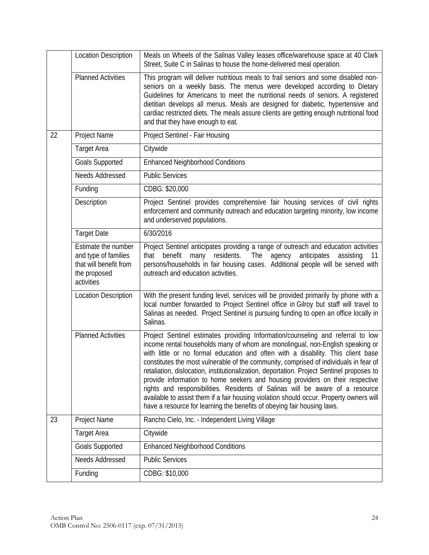|    | <b>Location Description</b>                                                                         | Meals on Wheels of the Salinas Valley leases office/warehouse space at 40 Clark<br>Street, Suite C in Salinas to house the home-delivered meal operation.                                                                                                                                                                                                                                                                                                                                                                                                                                                                                                                                                                                                                           |
|----|-----------------------------------------------------------------------------------------------------|-------------------------------------------------------------------------------------------------------------------------------------------------------------------------------------------------------------------------------------------------------------------------------------------------------------------------------------------------------------------------------------------------------------------------------------------------------------------------------------------------------------------------------------------------------------------------------------------------------------------------------------------------------------------------------------------------------------------------------------------------------------------------------------|
|    | <b>Planned Activities</b>                                                                           | This program will deliver nutritious meals to frail seniors and some disabled non-<br>seniors on a weekly basis. The menus were developed according to Dietary<br>Guidelines for Americans to meet the nutritional needs of seniors. A registered<br>dietitian develops all menus. Meals are designed for diabetic, hypertensive and<br>cardiac restricted diets. The meals assure clients are getting enough nutritional food<br>and that they have enough to eat.                                                                                                                                                                                                                                                                                                                 |
| 22 | Project Name                                                                                        | Project Sentinel - Fair Housing                                                                                                                                                                                                                                                                                                                                                                                                                                                                                                                                                                                                                                                                                                                                                     |
|    | <b>Target Area</b>                                                                                  | Citywide                                                                                                                                                                                                                                                                                                                                                                                                                                                                                                                                                                                                                                                                                                                                                                            |
|    | <b>Goals Supported</b>                                                                              | <b>Enhanced Neighborhood Conditions</b>                                                                                                                                                                                                                                                                                                                                                                                                                                                                                                                                                                                                                                                                                                                                             |
|    | Needs Addressed                                                                                     | <b>Public Services</b>                                                                                                                                                                                                                                                                                                                                                                                                                                                                                                                                                                                                                                                                                                                                                              |
|    | Funding                                                                                             | CDBG: \$20,000                                                                                                                                                                                                                                                                                                                                                                                                                                                                                                                                                                                                                                                                                                                                                                      |
|    | Description                                                                                         | Project Sentinel provides comprehensive fair housing services of civil rights<br>enforcement and community outreach and education targeting minority, low income<br>and underserved populations.                                                                                                                                                                                                                                                                                                                                                                                                                                                                                                                                                                                    |
|    | <b>Target Date</b>                                                                                  | 6/30/2016                                                                                                                                                                                                                                                                                                                                                                                                                                                                                                                                                                                                                                                                                                                                                                           |
|    | Estimate the number<br>and type of families<br>that will benefit from<br>the proposed<br>activities | Project Sentinel anticipates providing a range of outreach and education activities<br>benefit<br>many residents.<br>The<br>agency<br>anticipates<br>that<br>assisting<br>-11<br>persons/households in fair housing cases. Additional people will be served with<br>outreach and education activities.                                                                                                                                                                                                                                                                                                                                                                                                                                                                              |
|    | <b>Location Description</b>                                                                         | With the present funding level, services will be provided primarily by phone with a<br>local number forwarded to Project Sentinel office in Gilroy but staff will travel to<br>Salinas as needed. Project Sentinel is pursuing funding to open an office locally in<br>Salinas.                                                                                                                                                                                                                                                                                                                                                                                                                                                                                                     |
|    | <b>Planned Activities</b>                                                                           | Project Sentinel estimates providing Information/counseling and referral to low<br>income rental households many of whom are monolingual, non-English speaking or<br>with little or no formal education and often with a disability. This client base<br>constitutes the most vulnerable of the community, comprised of individuals in fear of<br>retaliation, dislocation, institutionalization, deportation. Project Sentinel proposes to<br>provide information to home seekers and housing providers on their respective<br>rights and responsibilities. Residents of Salinas will be aware of a resource<br>available to assist them if a fair housing violation should occur. Property owners will<br>have a resource for learning the benefits of obeying fair housing laws. |
| 23 | Project Name                                                                                        | Rancho Cielo, Inc. - Independent Living Village                                                                                                                                                                                                                                                                                                                                                                                                                                                                                                                                                                                                                                                                                                                                     |
|    | <b>Target Area</b>                                                                                  | Citywide                                                                                                                                                                                                                                                                                                                                                                                                                                                                                                                                                                                                                                                                                                                                                                            |
|    | <b>Goals Supported</b>                                                                              | <b>Enhanced Neighborhood Conditions</b>                                                                                                                                                                                                                                                                                                                                                                                                                                                                                                                                                                                                                                                                                                                                             |
|    | Needs Addressed                                                                                     | <b>Public Services</b>                                                                                                                                                                                                                                                                                                                                                                                                                                                                                                                                                                                                                                                                                                                                                              |
|    | Funding                                                                                             | CDBG: \$10,000                                                                                                                                                                                                                                                                                                                                                                                                                                                                                                                                                                                                                                                                                                                                                                      |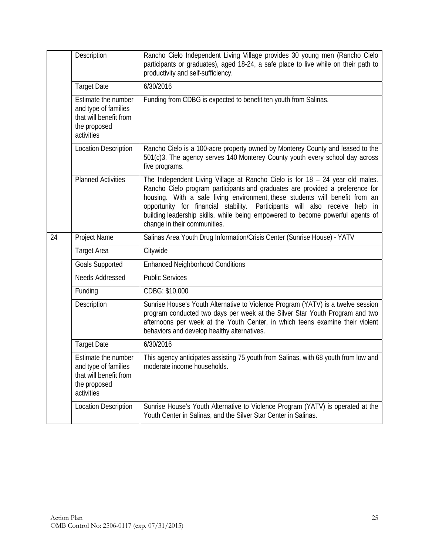|    | Description                                                                                                | Rancho Cielo Independent Living Village provides 30 young men (Rancho Cielo<br>participants or graduates), aged 18-24, a safe place to live while on their path to<br>productivity and self-sufficiency.                                                                                                                                                                                                                                        |
|----|------------------------------------------------------------------------------------------------------------|-------------------------------------------------------------------------------------------------------------------------------------------------------------------------------------------------------------------------------------------------------------------------------------------------------------------------------------------------------------------------------------------------------------------------------------------------|
|    | <b>Target Date</b>                                                                                         | 6/30/2016                                                                                                                                                                                                                                                                                                                                                                                                                                       |
|    | <b>Estimate the number</b><br>and type of families<br>that will benefit from<br>the proposed<br>activities | Funding from CDBG is expected to benefit ten youth from Salinas.                                                                                                                                                                                                                                                                                                                                                                                |
|    | <b>Location Description</b>                                                                                | Rancho Cielo is a 100-acre property owned by Monterey County and leased to the<br>501(c)3. The agency serves 140 Monterey County youth every school day across<br>five programs.                                                                                                                                                                                                                                                                |
|    | <b>Planned Activities</b>                                                                                  | The Independent Living Village at Rancho Cielo is for 18 - 24 year old males.<br>Rancho Cielo program participants and graduates are provided a preference for<br>housing. With a safe living environment, these students will benefit from an<br>opportunity for financial stability. Participants will also receive help in<br>building leadership skills, while being empowered to become powerful agents of<br>change in their communities. |
| 24 | Project Name                                                                                               | Salinas Area Youth Drug Information/Crisis Center (Sunrise House) - YATV                                                                                                                                                                                                                                                                                                                                                                        |
|    | <b>Target Area</b>                                                                                         | Citywide                                                                                                                                                                                                                                                                                                                                                                                                                                        |
|    | <b>Goals Supported</b>                                                                                     | <b>Enhanced Neighborhood Conditions</b>                                                                                                                                                                                                                                                                                                                                                                                                         |
|    | Needs Addressed                                                                                            | <b>Public Services</b>                                                                                                                                                                                                                                                                                                                                                                                                                          |
|    | Funding                                                                                                    | CDBG: \$10,000                                                                                                                                                                                                                                                                                                                                                                                                                                  |
|    | Description                                                                                                | Sunrise House's Youth Alternative to Violence Program (YATV) is a twelve session<br>program conducted two days per week at the Silver Star Youth Program and two<br>afternoons per week at the Youth Center, in which teens examine their violent<br>behaviors and develop healthy alternatives.                                                                                                                                                |
|    | <b>Target Date</b>                                                                                         | 6/30/2016                                                                                                                                                                                                                                                                                                                                                                                                                                       |
|    | Estimate the number<br>and type of families<br>that will benefit from<br>the proposed<br>activities        | This agency anticipates assisting 75 youth from Salinas, with 68 youth from low and<br>moderate income households.                                                                                                                                                                                                                                                                                                                              |
|    | <b>Location Description</b>                                                                                | Sunrise House's Youth Alternative to Violence Program (YATV) is operated at the<br>Youth Center in Salinas, and the Silver Star Center in Salinas.                                                                                                                                                                                                                                                                                              |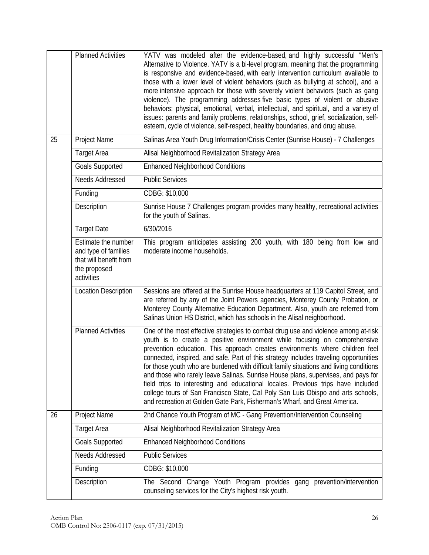|    | <b>Planned Activities</b>                                                                           | YATV was modeled after the evidence-based, and highly successful "Men's<br>Alternative to Violence. YATV is a bi-level program, meaning that the programming<br>is responsive and evidence-based, with early intervention curriculum available to<br>those with a lower level of violent behaviors (such as bullying at school), and a<br>more intensive approach for those with severely violent behaviors (such as gang<br>violence). The programming addresses five basic types of violent or abusive<br>behaviors: physical, emotional, verbal, intellectual, and spiritual, and a variety of<br>issues: parents and family problems, relationships, school, grief, socialization, self-<br>esteem, cycle of violence, self-respect, healthy boundaries, and drug abuse.  |
|----|-----------------------------------------------------------------------------------------------------|-------------------------------------------------------------------------------------------------------------------------------------------------------------------------------------------------------------------------------------------------------------------------------------------------------------------------------------------------------------------------------------------------------------------------------------------------------------------------------------------------------------------------------------------------------------------------------------------------------------------------------------------------------------------------------------------------------------------------------------------------------------------------------|
| 25 | Project Name                                                                                        | Salinas Area Youth Drug Information/Crisis Center (Sunrise House) - 7 Challenges                                                                                                                                                                                                                                                                                                                                                                                                                                                                                                                                                                                                                                                                                              |
|    | <b>Target Area</b>                                                                                  | Alisal Neighborhood Revitalization Strategy Area                                                                                                                                                                                                                                                                                                                                                                                                                                                                                                                                                                                                                                                                                                                              |
|    | <b>Goals Supported</b>                                                                              | <b>Enhanced Neighborhood Conditions</b>                                                                                                                                                                                                                                                                                                                                                                                                                                                                                                                                                                                                                                                                                                                                       |
|    | Needs Addressed                                                                                     | <b>Public Services</b>                                                                                                                                                                                                                                                                                                                                                                                                                                                                                                                                                                                                                                                                                                                                                        |
|    | Funding                                                                                             | CDBG: \$10,000                                                                                                                                                                                                                                                                                                                                                                                                                                                                                                                                                                                                                                                                                                                                                                |
|    | Description                                                                                         | Sunrise House 7 Challenges program provides many healthy, recreational activities<br>for the youth of Salinas.                                                                                                                                                                                                                                                                                                                                                                                                                                                                                                                                                                                                                                                                |
|    | <b>Target Date</b>                                                                                  | 6/30/2016                                                                                                                                                                                                                                                                                                                                                                                                                                                                                                                                                                                                                                                                                                                                                                     |
|    | Estimate the number<br>and type of families<br>that will benefit from<br>the proposed<br>activities | This program anticipates assisting 200 youth, with 180 being from low and<br>moderate income households.                                                                                                                                                                                                                                                                                                                                                                                                                                                                                                                                                                                                                                                                      |
|    | <b>Location Description</b>                                                                         | Sessions are offered at the Sunrise House headquarters at 119 Capitol Street, and<br>are referred by any of the Joint Powers agencies, Monterey County Probation, or<br>Monterey County Alternative Education Department. Also, youth are referred from<br>Salinas Union HS District, which has schools in the Alisal neighborhood.                                                                                                                                                                                                                                                                                                                                                                                                                                           |
|    | <b>Planned Activities</b>                                                                           | One of the most effective strategies to combat drug use and violence among at-risk<br>youth is to create a positive environment while focusing on comprehensive<br>prevention education. This approach creates environments where children feel<br>connected, inspired, and safe. Part of this strategy includes traveling opportunities<br>for those youth who are burdened with difficult family situations and living conditions<br>and those who rarely leave Salinas. Sunrise House plans, supervises, and pays for<br>field trips to interesting and educational locales. Previous trips have included<br>college tours of San Francisco State, Cal Poly San Luis Obispo and arts schools,<br>and recreation at Golden Gate Park, Fisherman's Wharf, and Great America. |
| 26 | Project Name                                                                                        | 2nd Chance Youth Program of MC - Gang Prevention/Intervention Counseling                                                                                                                                                                                                                                                                                                                                                                                                                                                                                                                                                                                                                                                                                                      |
|    | <b>Target Area</b>                                                                                  | Alisal Neighborhood Revitalization Strategy Area                                                                                                                                                                                                                                                                                                                                                                                                                                                                                                                                                                                                                                                                                                                              |
|    | <b>Goals Supported</b>                                                                              | <b>Enhanced Neighborhood Conditions</b>                                                                                                                                                                                                                                                                                                                                                                                                                                                                                                                                                                                                                                                                                                                                       |
|    | Needs Addressed                                                                                     | <b>Public Services</b>                                                                                                                                                                                                                                                                                                                                                                                                                                                                                                                                                                                                                                                                                                                                                        |
|    | Funding                                                                                             | CDBG: \$10,000                                                                                                                                                                                                                                                                                                                                                                                                                                                                                                                                                                                                                                                                                                                                                                |
|    | Description                                                                                         | The Second Change Youth Program provides gang<br>prevention/intervention<br>counseling services for the City's highest risk youth.                                                                                                                                                                                                                                                                                                                                                                                                                                                                                                                                                                                                                                            |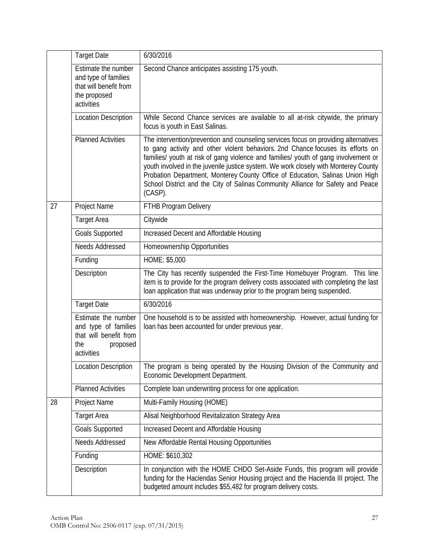|    | <b>Target Date</b>                                                                                     | 6/30/2016                                                                                                                                                                                                                                                                                                                                                                                                                                                                                                                           |
|----|--------------------------------------------------------------------------------------------------------|-------------------------------------------------------------------------------------------------------------------------------------------------------------------------------------------------------------------------------------------------------------------------------------------------------------------------------------------------------------------------------------------------------------------------------------------------------------------------------------------------------------------------------------|
|    | Estimate the number<br>and type of families<br>that will benefit from<br>the proposed<br>activities    | Second Chance anticipates assisting 175 youth.                                                                                                                                                                                                                                                                                                                                                                                                                                                                                      |
|    | <b>Location Description</b>                                                                            | While Second Chance services are available to all at-risk citywide, the primary<br>focus is youth in East Salinas.                                                                                                                                                                                                                                                                                                                                                                                                                  |
|    | <b>Planned Activities</b>                                                                              | The intervention/prevention and counseling services focus on providing alternatives<br>to gang activity and other violent behaviors. 2nd Chance focuses its efforts on<br>families/ youth at risk of gang violence and families/ youth of gang involvement or<br>youth involved in the juvenile justice system. We work closely with Monterey County<br>Probation Department, Monterey County Office of Education, Salinas Union High<br>School District and the City of Salinas Community Alliance for Safety and Peace<br>(CASP). |
| 27 | Project Name                                                                                           | FTHB Program Delivery                                                                                                                                                                                                                                                                                                                                                                                                                                                                                                               |
|    | <b>Target Area</b>                                                                                     | Citywide                                                                                                                                                                                                                                                                                                                                                                                                                                                                                                                            |
|    | <b>Goals Supported</b>                                                                                 | Increased Decent and Affordable Housing                                                                                                                                                                                                                                                                                                                                                                                                                                                                                             |
|    | Needs Addressed                                                                                        | Homeownership Opportunities                                                                                                                                                                                                                                                                                                                                                                                                                                                                                                         |
|    | Funding                                                                                                | HOME: \$5,000                                                                                                                                                                                                                                                                                                                                                                                                                                                                                                                       |
|    | Description                                                                                            | The City has recently suspended the First-Time Homebuyer Program. This line<br>item is to provide for the program delivery costs associated with completing the last<br>loan application that was underway prior to the program being suspended.                                                                                                                                                                                                                                                                                    |
|    | <b>Target Date</b>                                                                                     | 6/30/2016                                                                                                                                                                                                                                                                                                                                                                                                                                                                                                                           |
|    | Estimate the number<br>and type of families<br>that will benefit from<br>the<br>proposed<br>activities | One household is to be assisted with homeownership. However, actual funding for<br>loan has been accounted for under previous year.                                                                                                                                                                                                                                                                                                                                                                                                 |
|    | <b>Location Description</b>                                                                            | The program is being operated by the Housing Division of the Community and<br>Economic Development Department.                                                                                                                                                                                                                                                                                                                                                                                                                      |
|    | <b>Planned Activities</b>                                                                              | Complete loan underwriting process for one application.                                                                                                                                                                                                                                                                                                                                                                                                                                                                             |
| 28 | Project Name                                                                                           | Multi-Family Housing (HOME)                                                                                                                                                                                                                                                                                                                                                                                                                                                                                                         |
|    | <b>Target Area</b>                                                                                     | Alisal Neighborhood Revitalization Strategy Area                                                                                                                                                                                                                                                                                                                                                                                                                                                                                    |
|    | <b>Goals Supported</b>                                                                                 | Increased Decent and Affordable Housing                                                                                                                                                                                                                                                                                                                                                                                                                                                                                             |
|    | Needs Addressed                                                                                        | New Affordable Rental Housing Opportunities                                                                                                                                                                                                                                                                                                                                                                                                                                                                                         |
|    | Funding                                                                                                | HOME: \$610,302                                                                                                                                                                                                                                                                                                                                                                                                                                                                                                                     |
|    | Description                                                                                            | In conjunction with the HOME CHDO Set-Aside Funds, this program will provide<br>funding for the Haciendas Senior Housing project and the Hacienda III project. The<br>budgeted amount includes \$55,482 for program delivery costs.                                                                                                                                                                                                                                                                                                 |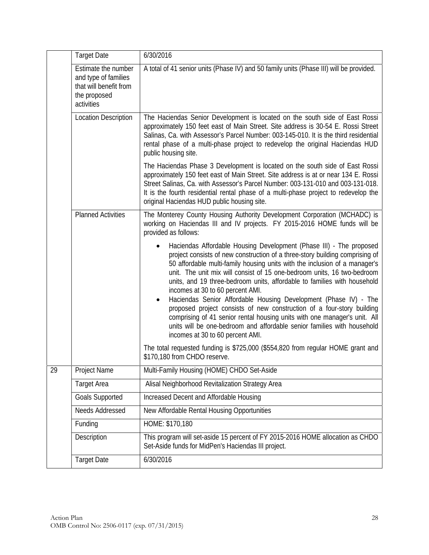|    | <b>Target Date</b>                                                                                  | 6/30/2016                                                                                                                                                                                                                                                                                                                                                                                                                                                                                                                                                                                                                                                                                                                                                              |
|----|-----------------------------------------------------------------------------------------------------|------------------------------------------------------------------------------------------------------------------------------------------------------------------------------------------------------------------------------------------------------------------------------------------------------------------------------------------------------------------------------------------------------------------------------------------------------------------------------------------------------------------------------------------------------------------------------------------------------------------------------------------------------------------------------------------------------------------------------------------------------------------------|
|    | Estimate the number<br>and type of families<br>that will benefit from<br>the proposed<br>activities | A total of 41 senior units (Phase IV) and 50 family units (Phase III) will be provided.                                                                                                                                                                                                                                                                                                                                                                                                                                                                                                                                                                                                                                                                                |
|    | <b>Location Description</b>                                                                         | The Haciendas Senior Development is located on the south side of East Rossi<br>approximately 150 feet east of Main Street. Site address is 30-54 E. Rossi Street<br>Salinas, Ca. with Assessor's Parcel Number: 003-145-010. It is the third residential<br>rental phase of a multi-phase project to redevelop the original Haciendas HUD<br>public housing site.                                                                                                                                                                                                                                                                                                                                                                                                      |
|    |                                                                                                     | The Haciendas Phase 3 Development is located on the south side of East Rossi<br>approximately 150 feet east of Main Street. Site address is at or near 134 E. Rossi<br>Street Salinas, Ca. with Assessor's Parcel Number: 003-131-010 and 003-131-018.<br>It is the fourth residential rental phase of a multi-phase project to redevelop the<br>original Haciendas HUD public housing site.                                                                                                                                                                                                                                                                                                                                                                           |
|    | <b>Planned Activities</b>                                                                           | The Monterey County Housing Authority Development Corporation (MCHADC) is<br>working on Haciendas III and IV projects. FY 2015-2016 HOME funds will be<br>provided as follows:                                                                                                                                                                                                                                                                                                                                                                                                                                                                                                                                                                                         |
|    |                                                                                                     | Haciendas Affordable Housing Development (Phase III) - The proposed<br>project consists of new construction of a three-story building comprising of<br>50 affordable multi-family housing units with the inclusion of a manager's<br>unit. The unit mix will consist of 15 one-bedroom units, 16 two-bedroom<br>units, and 19 three-bedroom units, affordable to families with household<br>incomes at 30 to 60 percent AMI.<br>Haciendas Senior Affordable Housing Development (Phase IV) - The<br>proposed project consists of new construction of a four-story building<br>comprising of 41 senior rental housing units with one manager's unit. All<br>units will be one-bedroom and affordable senior families with household<br>incomes at 30 to 60 percent AMI. |
|    |                                                                                                     | The total requested funding is \$725,000 (\$554,820 from regular HOME grant and<br>\$170,180 from CHDO reserve.                                                                                                                                                                                                                                                                                                                                                                                                                                                                                                                                                                                                                                                        |
| 29 | Project Name                                                                                        | Multi-Family Housing (HOME) CHDO Set-Aside                                                                                                                                                                                                                                                                                                                                                                                                                                                                                                                                                                                                                                                                                                                             |
|    | <b>Target Area</b>                                                                                  | Alisal Neighborhood Revitalization Strategy Area                                                                                                                                                                                                                                                                                                                                                                                                                                                                                                                                                                                                                                                                                                                       |
|    | <b>Goals Supported</b>                                                                              | Increased Decent and Affordable Housing                                                                                                                                                                                                                                                                                                                                                                                                                                                                                                                                                                                                                                                                                                                                |
|    | Needs Addressed                                                                                     | New Affordable Rental Housing Opportunities                                                                                                                                                                                                                                                                                                                                                                                                                                                                                                                                                                                                                                                                                                                            |
|    | Funding                                                                                             | HOME: \$170,180                                                                                                                                                                                                                                                                                                                                                                                                                                                                                                                                                                                                                                                                                                                                                        |
|    | Description                                                                                         | This program will set-aside 15 percent of FY 2015-2016 HOME allocation as CHDO<br>Set-Aside funds for MidPen's Haciendas III project.                                                                                                                                                                                                                                                                                                                                                                                                                                                                                                                                                                                                                                  |
|    | <b>Target Date</b>                                                                                  | 6/30/2016                                                                                                                                                                                                                                                                                                                                                                                                                                                                                                                                                                                                                                                                                                                                                              |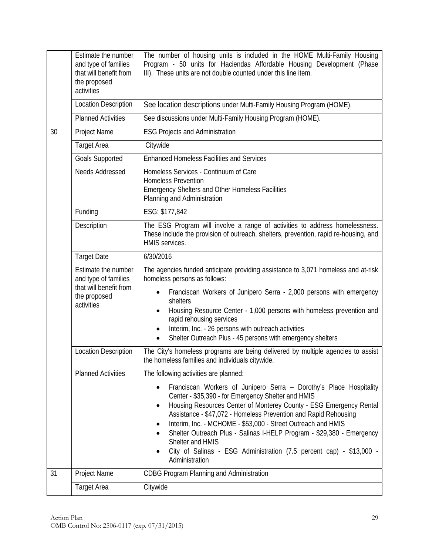|                                                                                                                                                                                                                                         | Estimate the number<br>and type of families<br>that will benefit from<br>the proposed<br>activities | The number of housing units is included in the HOME Multi-Family Housing<br>Program - 50 units for Haciendas Affordable Housing Development (Phase<br>III). These units are not double counted under this line item.                                                                                                                                                                                                                                                                                                         |  |  |  |
|-----------------------------------------------------------------------------------------------------------------------------------------------------------------------------------------------------------------------------------------|-----------------------------------------------------------------------------------------------------|------------------------------------------------------------------------------------------------------------------------------------------------------------------------------------------------------------------------------------------------------------------------------------------------------------------------------------------------------------------------------------------------------------------------------------------------------------------------------------------------------------------------------|--|--|--|
|                                                                                                                                                                                                                                         | <b>Location Description</b>                                                                         | See location descriptions under Multi-Family Housing Program (HOME).                                                                                                                                                                                                                                                                                                                                                                                                                                                         |  |  |  |
|                                                                                                                                                                                                                                         | <b>Planned Activities</b>                                                                           | See discussions under Multi-Family Housing Program (HOME).                                                                                                                                                                                                                                                                                                                                                                                                                                                                   |  |  |  |
| 30                                                                                                                                                                                                                                      | Project Name                                                                                        | <b>ESG Projects and Administration</b>                                                                                                                                                                                                                                                                                                                                                                                                                                                                                       |  |  |  |
|                                                                                                                                                                                                                                         | <b>Target Area</b>                                                                                  | Citywide                                                                                                                                                                                                                                                                                                                                                                                                                                                                                                                     |  |  |  |
|                                                                                                                                                                                                                                         | <b>Goals Supported</b>                                                                              | <b>Enhanced Homeless Facilities and Services</b>                                                                                                                                                                                                                                                                                                                                                                                                                                                                             |  |  |  |
|                                                                                                                                                                                                                                         | Needs Addressed                                                                                     | Homeless Services - Continuum of Care<br><b>Homeless Prevention</b><br><b>Emergency Shelters and Other Homeless Facilities</b><br>Planning and Administration                                                                                                                                                                                                                                                                                                                                                                |  |  |  |
|                                                                                                                                                                                                                                         | Funding                                                                                             | ESG: \$177,842                                                                                                                                                                                                                                                                                                                                                                                                                                                                                                               |  |  |  |
| Description<br>HMIS services.                                                                                                                                                                                                           |                                                                                                     | The ESG Program will involve a range of activities to address homelessness.<br>These include the provision of outreach, shelters, prevention, rapid re-housing, and                                                                                                                                                                                                                                                                                                                                                          |  |  |  |
|                                                                                                                                                                                                                                         | <b>Target Date</b>                                                                                  | 6/30/2016                                                                                                                                                                                                                                                                                                                                                                                                                                                                                                                    |  |  |  |
| Estimate the number<br>homeless persons as follows:<br>and type of families<br>that will benefit from<br>the proposed<br>shelters<br>activities<br>rapid rehousing services<br>Interim, Inc. - 26 persons with outreach activities<br>٠ |                                                                                                     | The agencies funded anticipate providing assistance to 3,071 homeless and at-risk                                                                                                                                                                                                                                                                                                                                                                                                                                            |  |  |  |
|                                                                                                                                                                                                                                         |                                                                                                     | Franciscan Workers of Junipero Serra - 2,000 persons with emergency<br>Housing Resource Center - 1,000 persons with homeless prevention and<br>Shelter Outreach Plus - 45 persons with emergency shelters<br>$\bullet$                                                                                                                                                                                                                                                                                                       |  |  |  |
|                                                                                                                                                                                                                                         | <b>Location Description</b>                                                                         | The City's homeless programs are being delivered by multiple agencies to assist<br>the homeless families and individuals citywide.                                                                                                                                                                                                                                                                                                                                                                                           |  |  |  |
|                                                                                                                                                                                                                                         | <b>Planned Activities</b>                                                                           | The following activities are planned:                                                                                                                                                                                                                                                                                                                                                                                                                                                                                        |  |  |  |
|                                                                                                                                                                                                                                         |                                                                                                     | Franciscan Workers of Junipero Serra - Dorothy's Place Hospitality<br>Center - \$35,390 - for Emergency Shelter and HMIS<br>Housing Resources Center of Monterey County - ESG Emergency Rental<br>٠<br>Assistance - \$47,072 - Homeless Prevention and Rapid Rehousing<br>Interim, Inc. - MCHOME - \$53,000 - Street Outreach and HMIS<br>Shelter Outreach Plus - Salinas I-HELP Program - \$29,380 - Emergency<br>Shelter and HMIS<br>City of Salinas - ESG Administration (7.5 percent cap) - \$13,000 -<br>Administration |  |  |  |
| 31                                                                                                                                                                                                                                      | Project Name                                                                                        | <b>CDBG Program Planning and Administration</b>                                                                                                                                                                                                                                                                                                                                                                                                                                                                              |  |  |  |
|                                                                                                                                                                                                                                         | <b>Target Area</b>                                                                                  | Citywide                                                                                                                                                                                                                                                                                                                                                                                                                                                                                                                     |  |  |  |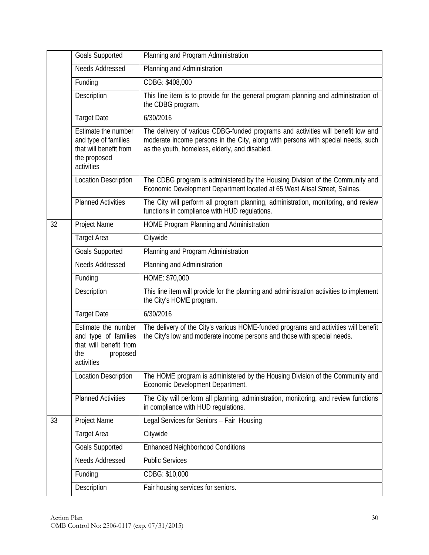|    | <b>Goals Supported</b>                                                                                 | Planning and Program Administration                                                                                                                                                                                    |
|----|--------------------------------------------------------------------------------------------------------|------------------------------------------------------------------------------------------------------------------------------------------------------------------------------------------------------------------------|
|    | Needs Addressed                                                                                        | Planning and Administration                                                                                                                                                                                            |
|    | Funding                                                                                                | CDBG: \$408,000                                                                                                                                                                                                        |
|    | Description                                                                                            | This line item is to provide for the general program planning and administration of<br>the CDBG program.                                                                                                               |
|    | <b>Target Date</b>                                                                                     | 6/30/2016                                                                                                                                                                                                              |
|    | Estimate the number<br>and type of families<br>that will benefit from<br>the proposed<br>activities    | The delivery of various CDBG-funded programs and activities will benefit low and<br>moderate income persons in the City, along with persons with special needs, such<br>as the youth, homeless, elderly, and disabled. |
|    | <b>Location Description</b>                                                                            | The CDBG program is administered by the Housing Division of the Community and<br>Economic Development Department located at 65 West Alisal Street, Salinas.                                                            |
|    | <b>Planned Activities</b>                                                                              | The City will perform all program planning, administration, monitoring, and review<br>functions in compliance with HUD regulations.                                                                                    |
| 32 | Project Name                                                                                           | HOME Program Planning and Administration                                                                                                                                                                               |
|    | <b>Target Area</b>                                                                                     | Citywide                                                                                                                                                                                                               |
|    | <b>Goals Supported</b>                                                                                 | Planning and Program Administration                                                                                                                                                                                    |
|    | Needs Addressed                                                                                        | Planning and Administration                                                                                                                                                                                            |
|    | Funding                                                                                                | HOME: \$70,000                                                                                                                                                                                                         |
|    | Description                                                                                            | This line item will provide for the planning and administration activities to implement<br>the City's HOME program.                                                                                                    |
|    | <b>Target Date</b>                                                                                     | 6/30/2016                                                                                                                                                                                                              |
|    | Estimate the number<br>and type of families<br>that will benefit from<br>the<br>proposed<br>activities | The delivery of the City's various HOME-funded programs and activities will benefit<br>the City's low and moderate income persons and those with special needs.                                                        |
|    | <b>Location Description</b>                                                                            | The HOME program is administered by the Housing Division of the Community and<br>Economic Development Department.                                                                                                      |
|    | <b>Planned Activities</b>                                                                              | The City will perform all planning, administration, monitoring, and review functions<br>in compliance with HUD regulations.                                                                                            |
| 33 | Project Name                                                                                           | Legal Services for Seniors - Fair Housing                                                                                                                                                                              |
|    | <b>Target Area</b>                                                                                     | Citywide                                                                                                                                                                                                               |
|    | <b>Goals Supported</b>                                                                                 | <b>Enhanced Neighborhood Conditions</b>                                                                                                                                                                                |
|    | Needs Addressed                                                                                        | <b>Public Services</b>                                                                                                                                                                                                 |
|    | Funding                                                                                                | CDBG: \$10,000                                                                                                                                                                                                         |
|    | Description                                                                                            | Fair housing services for seniors.                                                                                                                                                                                     |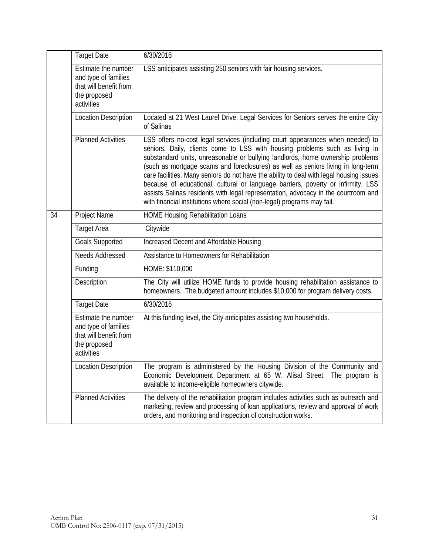|                                                                                                                                                                          | <b>Target Date</b>                                                                                  | 6/30/2016                                                                                                                                                                                                                                                                                                                                                                                                                                                                                                                                                                                                                                                                           |
|--------------------------------------------------------------------------------------------------------------------------------------------------------------------------|-----------------------------------------------------------------------------------------------------|-------------------------------------------------------------------------------------------------------------------------------------------------------------------------------------------------------------------------------------------------------------------------------------------------------------------------------------------------------------------------------------------------------------------------------------------------------------------------------------------------------------------------------------------------------------------------------------------------------------------------------------------------------------------------------------|
| Estimate the number<br>LSS anticipates assisting 250 seniors with fair housing services.<br>and type of families<br>that will benefit from<br>the proposed<br>activities |                                                                                                     |                                                                                                                                                                                                                                                                                                                                                                                                                                                                                                                                                                                                                                                                                     |
|                                                                                                                                                                          | <b>Location Description</b>                                                                         | Located at 21 West Laurel Drive, Legal Services for Seniors serves the entire City<br>of Salinas                                                                                                                                                                                                                                                                                                                                                                                                                                                                                                                                                                                    |
|                                                                                                                                                                          | <b>Planned Activities</b>                                                                           | LSS offers no-cost legal services (including court appearances when needed) to<br>seniors. Daily, clients come to LSS with housing problems such as living in<br>substandard units, unreasonable or bullying landlords, home ownership problems<br>(such as mortgage scams and foreclosures) as well as seniors living in long-term<br>care facilities. Many seniors do not have the ability to deal with legal housing issues<br>because of educational, cultural or language barriers, poverty or infirmity. LSS<br>assists Salinas residents with legal representation, advocacy in the courtroom and<br>with financial institutions where social (non-legal) programs may fail. |
| 34                                                                                                                                                                       | Project Name                                                                                        | <b>HOME Housing Rehabilitation Loans</b>                                                                                                                                                                                                                                                                                                                                                                                                                                                                                                                                                                                                                                            |
|                                                                                                                                                                          | <b>Target Area</b>                                                                                  | Citywide                                                                                                                                                                                                                                                                                                                                                                                                                                                                                                                                                                                                                                                                            |
|                                                                                                                                                                          | <b>Goals Supported</b>                                                                              | Increased Decent and Affordable Housing                                                                                                                                                                                                                                                                                                                                                                                                                                                                                                                                                                                                                                             |
|                                                                                                                                                                          | Needs Addressed                                                                                     | Assistance to Homeowners for Rehabilitation                                                                                                                                                                                                                                                                                                                                                                                                                                                                                                                                                                                                                                         |
|                                                                                                                                                                          | Funding                                                                                             | HOME: \$110,000                                                                                                                                                                                                                                                                                                                                                                                                                                                                                                                                                                                                                                                                     |
|                                                                                                                                                                          | Description                                                                                         | The City will utilize HOME funds to provide housing rehabilitation assistance to<br>homeowners. The budgeted amount includes \$10,000 for program delivery costs.                                                                                                                                                                                                                                                                                                                                                                                                                                                                                                                   |
|                                                                                                                                                                          | <b>Target Date</b>                                                                                  | 6/30/2016                                                                                                                                                                                                                                                                                                                                                                                                                                                                                                                                                                                                                                                                           |
|                                                                                                                                                                          | Estimate the number<br>and type of families<br>that will benefit from<br>the proposed<br>activities | At this funding level, the City anticipates assisting two households.                                                                                                                                                                                                                                                                                                                                                                                                                                                                                                                                                                                                               |
|                                                                                                                                                                          | <b>Location Description</b>                                                                         | The program is administered by the Housing Division of the Community and<br>Economic Development Department at 65 W. Alisal Street. The program is<br>available to income-eligible homeowners citywide.                                                                                                                                                                                                                                                                                                                                                                                                                                                                             |
|                                                                                                                                                                          | <b>Planned Activities</b>                                                                           | The delivery of the rehabilitation program includes activities such as outreach and<br>marketing, review and processing of loan applications, review and approval of work<br>orders, and monitoring and inspection of construction works.                                                                                                                                                                                                                                                                                                                                                                                                                                           |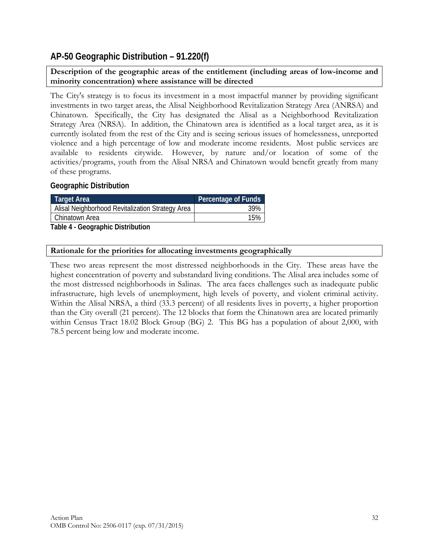## **AP-50 Geographic Distribution – 91.220(f)**

**Description of the geographic areas of the entitlement (including areas of low-income and minority concentration) where assistance will be directed** 

The City's strategy is to focus its investment in a most impactful manner by providing significant investments in two target areas, the Alisal Neighborhood Revitalization Strategy Area (ANRSA) and Chinatown. Specifically, the City has designated the Alisal as a Neighborhood Revitalization Strategy Area (NRSA). In addition, the Chinatown area is identified as a local target area, as it is currently isolated from the rest of the City and is seeing serious issues of homelessness, unreported violence and a high percentage of low and moderate income residents. Most public services are available to residents citywide. However, by nature and/or location of some of the activities/programs, youth from the Alisal NRSA and Chinatown would benefit greatly from many of these programs.

#### **Geographic Distribution**

| Target Area                                      | Percentage of Funds |
|--------------------------------------------------|---------------------|
| Alisal Neighborhood Revitalization Strategy Area | 39%                 |
| Chinatown Area                                   | 15%                 |
| -<br>.                                           |                     |

**Table 4 - Geographic Distribution** 

| Rationale for the priorities for allocating investments geographically |  |  |  |  |
|------------------------------------------------------------------------|--|--|--|--|
|------------------------------------------------------------------------|--|--|--|--|

These two areas represent the most distressed neighborhoods in the City. These areas have the highest concentration of poverty and substandard living conditions. The Alisal area includes some of the most distressed neighborhoods in Salinas. The area faces challenges such as inadequate public infrastructure, high levels of unemployment, high levels of poverty, and violent criminal activity. Within the Alisal NRSA, a third (33.3 percent) of all residents lives in poverty, a higher proportion than the City overall (21 percent). The 12 blocks that form the Chinatown area are located primarily within Census Tract 18.02 Block Group (BG) 2. This BG has a population of about 2,000, with 78.5 percent being low and moderate income.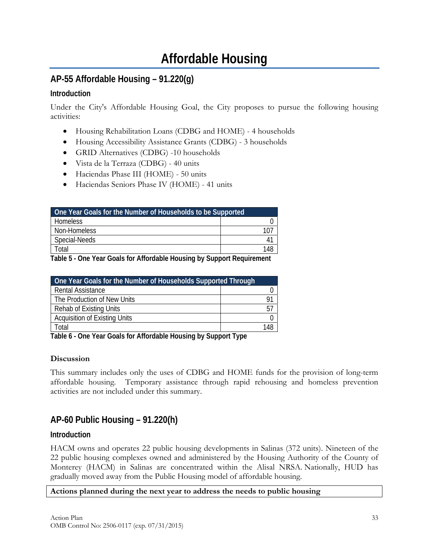# **Affordable Housing**

# **AP-55 Affordable Housing – 91.220(g)**

## **Introduction**

Under the City's Affordable Housing Goal, the City proposes to pursue the following housing activities:

- Housing Rehabilitation Loans (CDBG and HOME) 4 households
- Housing Accessibility Assistance Grants (CDBG) 3 households
- GRID Alternatives (CDBG) -10 households
- Vista de la Terraza (CDBG) 40 units
- Haciendas Phase III (HOME) 50 units
- Haciendas Seniors Phase IV (HOME) 41 units

| One Year Goals for the Number of Households to be Supported |  |  |
|-------------------------------------------------------------|--|--|
| <b>Homeless</b>                                             |  |  |
| Non-Homeless                                                |  |  |
| Special-Needs                                               |  |  |
| ั∩tal                                                       |  |  |

**Table 5 - One Year Goals for Affordable Housing by Support Requirement** 

| One Year Goals for the Number of Households Supported Through |     |
|---------------------------------------------------------------|-----|
| <b>Rental Assistance</b>                                      |     |
| The Production of New Units                                   | g.  |
| <b>Rehab of Existing Units</b>                                | 57  |
| <b>Acquisition of Existing Units</b>                          |     |
| `otal                                                         | 148 |

**Table 6 - One Year Goals for Affordable Housing by Support Type** 

### **Discussion**

This summary includes only the uses of CDBG and HOME funds for the provision of long-term affordable housing. Temporary assistance through rapid rehousing and homeless prevention activities are not included under this summary.

# **AP-60 Public Housing – 91.220(h)**

### **Introduction**

HACM owns and operates 22 public housing developments in Salinas (372 units). Nineteen of the 22 public housing complexes owned and administered by the Housing Authority of the County of Monterey (HACM) in Salinas are concentrated within the Alisal NRSA. Nationally, HUD has gradually moved away from the Public Housing model of affordable housing.

#### **Actions planned during the next year to address the needs to public housing**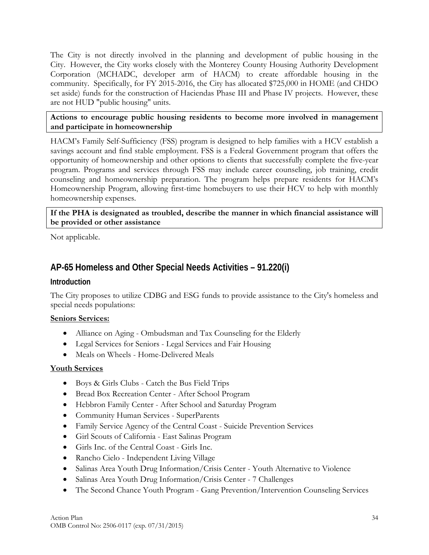The City is not directly involved in the planning and development of public housing in the City. However, the City works closely with the Monterey County Housing Authority Development Corporation (MCHADC, developer arm of HACM) to create affordable housing in the community. Specifically, for FY 2015-2016, the City has allocated \$725,000 in HOME (and CHDO set aside) funds for the construction of Haciendas Phase III and Phase IV projects. However, these are not HUD "public housing" units.

#### **Actions to encourage public housing residents to become more involved in management and participate in homeownership**

HACM's Family Self-Sufficiency (FSS) program is designed to help families with a HCV establish a savings account and find stable employment. FSS is a Federal Government program that offers the opportunity of homeownership and other options to clients that successfully complete the five-year program. Programs and services through FSS may include career counseling, job training, credit counseling and homeownership preparation. The program helps prepare residents for HACM's Homeownership Program, allowing first-time homebuyers to use their HCV to help with monthly homeownership expenses.

#### **If the PHA is designated as troubled, describe the manner in which financial assistance will be provided or other assistance**

Not applicable.

# **AP-65 Homeless and Other Special Needs Activities – 91.220(i)**

### **Introduction**

The City proposes to utilize CDBG and ESG funds to provide assistance to the City's homeless and special needs populations:

### **Seniors Services:**

- Alliance on Aging Ombudsman and Tax Counseling for the Elderly
- Legal Services for Seniors Legal Services and Fair Housing
- Meals on Wheels Home-Delivered Meals

### **Youth Services**

- Boys & Girls Clubs Catch the Bus Field Trips
- Bread Box Recreation Center After School Program
- Hebbron Family Center After School and Saturday Program
- Community Human Services SuperParents
- Family Service Agency of the Central Coast Suicide Prevention Services
- Girl Scouts of California East Salinas Program
- Girls Inc. of the Central Coast Girls Inc.
- Rancho Cielo Independent Living Village
- Salinas Area Youth Drug Information/Crisis Center Youth Alternative to Violence
- Salinas Area Youth Drug Information/Crisis Center 7 Challenges
- The Second Chance Youth Program Gang Prevention/Intervention Counseling Services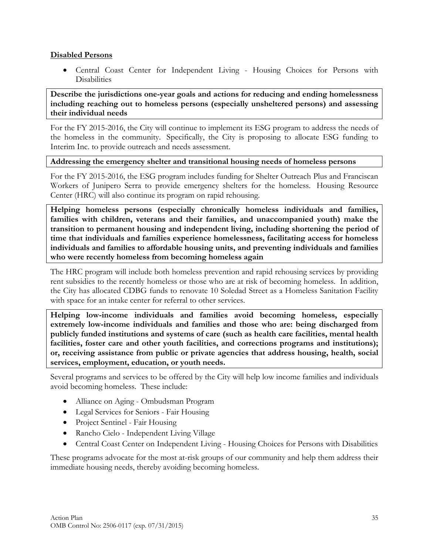#### **Disabled Persons**

 Central Coast Center for Independent Living - Housing Choices for Persons with **Disabilities** 

**Describe the jurisdictions one-year goals and actions for reducing and ending homelessness including reaching out to homeless persons (especially unsheltered persons) and assessing their individual needs** 

For the FY 2015-2016, the City will continue to implement its ESG program to address the needs of the homeless in the community. Specifically, the City is proposing to allocate ESG funding to Interim Inc. to provide outreach and needs assessment.

#### **Addressing the emergency shelter and transitional housing needs of homeless persons**

For the FY 2015-2016, the ESG program includes funding for Shelter Outreach Plus and Franciscan Workers of Junipero Serra to provide emergency shelters for the homeless. Housing Resource Center (HRC) will also continue its program on rapid rehousing.

**Helping homeless persons (especially chronically homeless individuals and families, families with children, veterans and their families, and unaccompanied youth) make the transition to permanent housing and independent living, including shortening the period of time that individuals and families experience homelessness, facilitating access for homeless individuals and families to affordable housing units, and preventing individuals and families who were recently homeless from becoming homeless again** 

The HRC program will include both homeless prevention and rapid rehousing services by providing rent subsidies to the recently homeless or those who are at risk of becoming homeless. In addition, the City has allocated CDBG funds to renovate 10 Soledad Street as a Homeless Sanitation Facility with space for an intake center for referral to other services.

**Helping low-income individuals and families avoid becoming homeless, especially extremely low-income individuals and families and those who are: being discharged from publicly funded institutions and systems of care (such as health care facilities, mental health**  facilities, foster care and other youth facilities, and corrections programs and institutions); **or, receiving assistance from public or private agencies that address housing, health, social services, employment, education, or youth needs.** 

Several programs and services to be offered by the City will help low income families and individuals avoid becoming homeless. These include:

- Alliance on Aging Ombudsman Program
- Legal Services for Seniors Fair Housing
- Project Sentinel Fair Housing
- Rancho Cielo Independent Living Village
- Central Coast Center on Independent Living Housing Choices for Persons with Disabilities

These programs advocate for the most at-risk groups of our community and help them address their immediate housing needs, thereby avoiding becoming homeless.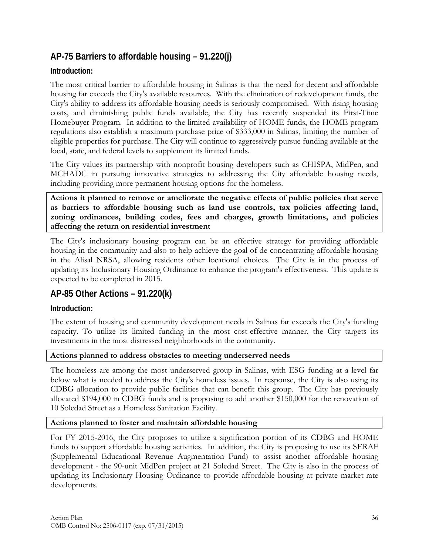# **AP-75 Barriers to affordable housing – 91.220(j)**

## **Introduction:**

The most critical barrier to affordable housing in Salinas is that the need for decent and affordable housing far exceeds the City's available resources. With the elimination of redevelopment funds, the City's ability to address its affordable housing needs is seriously compromised. With rising housing costs, and diminishing public funds available, the City has recently suspended its First-Time Homebuyer Program. In addition to the limited availability of HOME funds, the HOME program regulations also establish a maximum purchase price of \$333,000 in Salinas, limiting the number of eligible properties for purchase. The City will continue to aggressively pursue funding available at the local, state, and federal levels to supplement its limited funds.

The City values its partnership with nonprofit housing developers such as CHISPA, MidPen, and MCHADC in pursuing innovative strategies to addressing the City affordable housing needs, including providing more permanent housing options for the homeless.

**Actions it planned to remove or ameliorate the negative effects of public policies that serve as barriers to affordable housing such as land use controls, tax policies affecting land, zoning ordinances, building codes, fees and charges, growth limitations, and policies affecting the return on residential investment** 

The City's inclusionary housing program can be an effective strategy for providing affordable housing in the community and also to help achieve the goal of de-concentrating affordable housing in the Alisal NRSA, allowing residents other locational choices. The City is in the process of updating its Inclusionary Housing Ordinance to enhance the program's effectiveness. This update is expected to be completed in 2015.

# **AP-85 Other Actions – 91.220(k)**

## **Introduction:**

The extent of housing and community development needs in Salinas far exceeds the City's funding capacity. To utilize its limited funding in the most cost-effective manner, the City targets its investments in the most distressed neighborhoods in the community.

#### **Actions planned to address obstacles to meeting underserved needs**

The homeless are among the most underserved group in Salinas, with ESG funding at a level far below what is needed to address the City's homeless issues. In response, the City is also using its CDBG allocation to provide public facilities that can benefit this group. The City has previously allocated \$194,000 in CDBG funds and is proposing to add another \$150,000 for the renovation of 10 Soledad Street as a Homeless Sanitation Facility.

### **Actions planned to foster and maintain affordable housing**

For FY 2015-2016, the City proposes to utilize a signification portion of its CDBG and HOME funds to support affordable housing activities. In addition, the City is proposing to use its SERAF (Supplemental Educational Revenue Augmentation Fund) to assist another affordable housing development - the 90-unit MidPen project at 21 Soledad Street. The City is also in the process of updating its Inclusionary Housing Ordinance to provide affordable housing at private market-rate developments.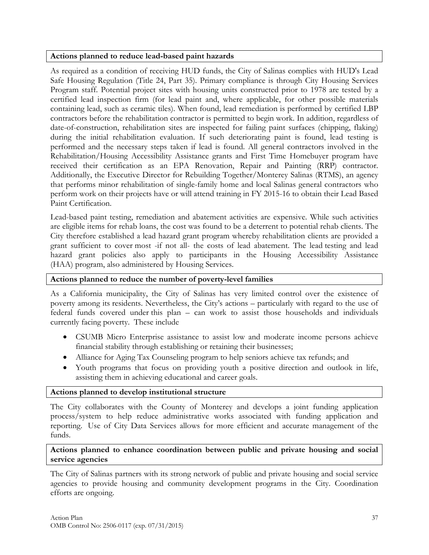#### **Actions planned to reduce lead-based paint hazards**

As required as a condition of receiving HUD funds, the City of Salinas complies with HUD's Lead Safe Housing Regulation (Title 24, Part 35). Primary compliance is through City Housing Services Program staff. Potential project sites with housing units constructed prior to 1978 are tested by a certified lead inspection firm (for lead paint and, where applicable, for other possible materials containing lead, such as ceramic tiles). When found, lead remediation is performed by certified LBP contractors before the rehabilitation contractor is permitted to begin work. In addition, regardless of date-of-construction, rehabilitation sites are inspected for failing paint surfaces (chipping, flaking) during the initial rehabilitation evaluation. If such deteriorating paint is found, lead testing is performed and the necessary steps taken if lead is found. All general contractors involved in the Rehabilitation/Housing Accessibility Assistance grants and First Time Homebuyer program have received their certification as an EPA Renovation, Repair and Painting (RRP) contractor. Additionally, the Executive Director for Rebuilding Together/Monterey Salinas (RTMS), an agency that performs minor rehabilitation of single-family home and local Salinas general contractors who perform work on their projects have or will attend training in FY 2015-16 to obtain their Lead Based Paint Certification.

Lead-based paint testing, remediation and abatement activities are expensive. While such activities are eligible items for rehab loans, the cost was found to be a deterrent to potential rehab clients. The City therefore established a lead hazard grant program whereby rehabilitation clients are provided a grant sufficient to cover most -if not all- the costs of lead abatement. The lead testing and lead hazard grant policies also apply to participants in the Housing Accessibility Assistance (HAA) program, also administered by Housing Services.

#### **Actions planned to reduce the number of poverty-level families**

As a California municipality, the City of Salinas has very limited control over the existence of poverty among its residents. Nevertheless, the City's actions – particularly with regard to the use of federal funds covered under this plan – can work to assist those households and individuals currently facing poverty. These include

- CSUMB Micro Enterprise assistance to assist low and moderate income persons achieve financial stability through establishing or retaining their businesses;
- Alliance for Aging Tax Counseling program to help seniors achieve tax refunds; and
- Youth programs that focus on providing youth a positive direction and outlook in life, assisting them in achieving educational and career goals.

#### **Actions planned to develop institutional structure**

The City collaborates with the County of Monterey and develops a joint funding application process/system to help reduce administrative works associated with funding application and reporting. Use of City Data Services allows for more efficient and accurate management of the funds.

#### **Actions planned to enhance coordination between public and private housing and social service agencies**

The City of Salinas partners with its strong network of public and private housing and social service agencies to provide housing and community development programs in the City. Coordination efforts are ongoing.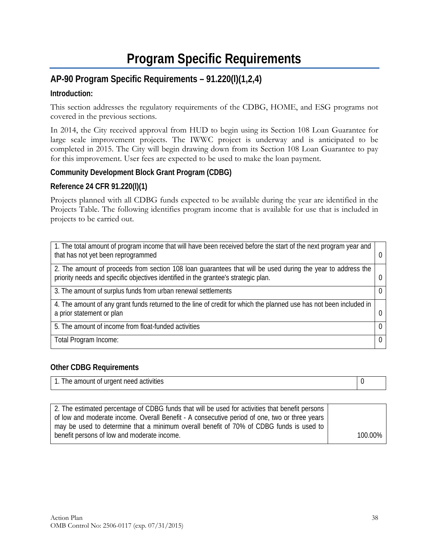# **Program Specific Requirements**

# **AP-90 Program Specific Requirements – 91.220(l)(1,2,4)**

## **Introduction:**

This section addresses the regulatory requirements of the CDBG, HOME, and ESG programs not covered in the previous sections.

In 2014, the City received approval from HUD to begin using its Section 108 Loan Guarantee for large scale improvement projects. The IWWC project is underway and is anticipated to be completed in 2015. The City will begin drawing down from its Section 108 Loan Guarantee to pay for this improvement. User fees are expected to be used to make the loan payment.

## **Community Development Block Grant Program (CDBG)**

### **Reference 24 CFR 91.220(l)(1)**

Projects planned with all CDBG funds expected to be available during the year are identified in the Projects Table. The following identifies program income that is available for use that is included in projects to be carried out.

| 1. The total amount of program income that will have been received before the start of the next program year and<br>that has not yet been reprogrammed                                            |   |
|---------------------------------------------------------------------------------------------------------------------------------------------------------------------------------------------------|---|
| 2. The amount of proceeds from section 108 loan guarantees that will be used during the year to address the<br>priority needs and specific objectives identified in the grantee's strategic plan. |   |
| 3. The amount of surplus funds from urban renewal settlements                                                                                                                                     |   |
| 4. The amount of any grant funds returned to the line of credit for which the planned use has not been included in<br>a prior statement or plan                                                   |   |
| 5. The amount of income from float-funded activities                                                                                                                                              | 0 |
| Total Program Income:                                                                                                                                                                             |   |

### **Other CDBG Requirements**

| amount of urgent need activities<br>'he<br>.<br>. |  |
|---------------------------------------------------|--|

| 2. The estimated percentage of CDBG funds that will be used for activities that benefit persons |         |
|-------------------------------------------------------------------------------------------------|---------|
|                                                                                                 |         |
| of low and moderate income. Overall Benefit - A consecutive period of one, two or three years   |         |
|                                                                                                 |         |
| may be used to determine that a minimum overall benefit of 70% of CDBG funds is used to         |         |
|                                                                                                 |         |
| benefit persons of low and moderate income.                                                     | 100.00% |
|                                                                                                 |         |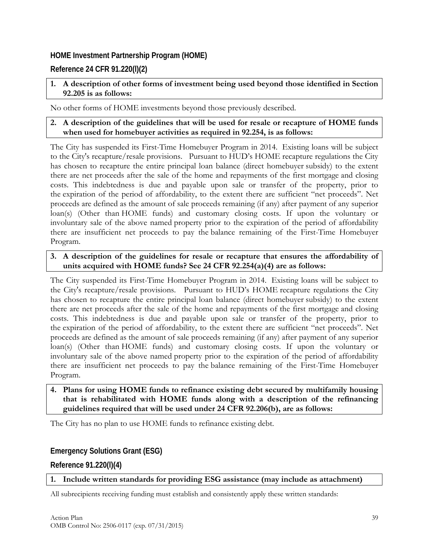## **HOME Investment Partnership Program (HOME)**

## **Reference 24 CFR 91.220(l)(2)**

## **1. A description of other forms of investment being used beyond those identified in Section 92.205 is as follows:**

No other forms of HOME investments beyond those previously described.

### **2. A description of the guidelines that will be used for resale or recapture of HOME funds when used for homebuyer activities as required in 92.254, is as follows:**

The City has suspended its First-Time Homebuyer Program in 2014. Existing loans will be subject to the City's recapture/resale provisions. Pursuant to HUD's HOME recapture regulations the City has chosen to recapture the entire principal loan balance (direct homebuyer subsidy) to the extent there are net proceeds after the sale of the home and repayments of the first mortgage and closing costs. This indebtedness is due and payable upon sale or transfer of the property, prior to the expiration of the period of affordability, to the extent there are sufficient "net proceeds". Net proceeds are defined as the amount of sale proceeds remaining (if any) after payment of any superior loan(s) (Other than HOME funds) and customary closing costs. If upon the voluntary or involuntary sale of the above named property prior to the expiration of the period of affordability there are insufficient net proceeds to pay the balance remaining of the First-Time Homebuyer Program.

#### **3. A description of the guidelines for resale or recapture that ensures the affordability of units acquired with HOME funds? See 24 CFR 92.254(a)(4) are as follows:**

The City suspended its First-Time Homebuyer Program in 2014. Existing loans will be subject to the City's recapture/resale provisions. Pursuant to HUD's HOME recapture regulations the City has chosen to recapture the entire principal loan balance (direct homebuyer subsidy) to the extent there are net proceeds after the sale of the home and repayments of the first mortgage and closing costs. This indebtedness is due and payable upon sale or transfer of the property, prior to the expiration of the period of affordability, to the extent there are sufficient "net proceeds". Net proceeds are defined as the amount of sale proceeds remaining (if any) after payment of any superior loan(s) (Other than HOME funds) and customary closing costs. If upon the voluntary or involuntary sale of the above named property prior to the expiration of the period of affordability there are insufficient net proceeds to pay the balance remaining of the First-Time Homebuyer Program.

#### **4. Plans for using HOME funds to refinance existing debt secured by multifamily housing that is rehabilitated with HOME funds along with a description of the refinancing guidelines required that will be used under 24 CFR 92.206(b), are as follows:**

The City has no plan to use HOME funds to refinance existing debt.

## **Emergency Solutions Grant (ESG)**

**Reference 91.220(l)(4)** 

### **1. Include written standards for providing ESG assistance (may include as attachment)**

All subrecipients receiving funding must establish and consistently apply these written standards: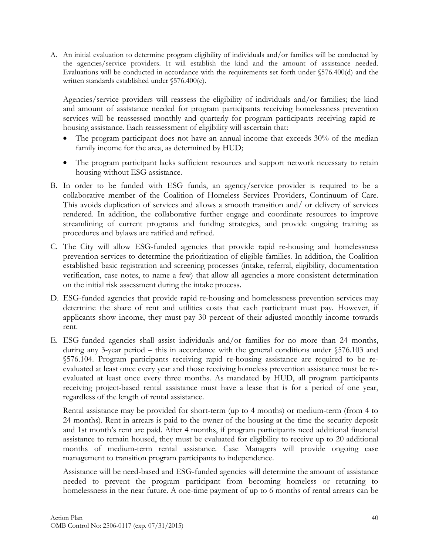A. An initial evaluation to determine program eligibility of individuals and/or families will be conducted by the agencies/service providers. It will establish the kind and the amount of assistance needed. Evaluations will be conducted in accordance with the requirements set forth under §576.400(d) and the written standards established under §576.400(e).

Agencies/service providers will reassess the eligibility of individuals and/or families; the kind and amount of assistance needed for program participants receiving homelessness prevention services will be reassessed monthly and quarterly for program participants receiving rapid rehousing assistance. Each reassessment of eligibility will ascertain that:

- The program participant does not have an annual income that exceeds 30% of the median family income for the area, as determined by HUD;
- The program participant lacks sufficient resources and support network necessary to retain housing without ESG assistance.
- B. In order to be funded with ESG funds, an agency/service provider is required to be a collaborative member of the Coalition of Homeless Services Providers, Continuum of Care. This avoids duplication of services and allows a smooth transition and/ or delivery of services rendered. In addition, the collaborative further engage and coordinate resources to improve streamlining of current programs and funding strategies, and provide ongoing training as procedures and bylaws are ratified and refined.
- C. The City will allow ESG-funded agencies that provide rapid re-housing and homelessness prevention services to determine the prioritization of eligible families. In addition, the Coalition established basic registration and screening processes (intake, referral, eligibility, documentation verification, case notes, to name a few) that allow all agencies a more consistent determination on the initial risk assessment during the intake process.
- D. ESG-funded agencies that provide rapid re-housing and homelessness prevention services may determine the share of rent and utilities costs that each participant must pay. However, if applicants show income, they must pay 30 percent of their adjusted monthly income towards rent.
- E. ESG-funded agencies shall assist individuals and/or families for no more than 24 months, during any 3-year period – this in accordance with the general conditions under §576.103 and §576.104. Program participants receiving rapid re-housing assistance are required to be reevaluated at least once every year and those receiving homeless prevention assistance must be reevaluated at least once every three months. As mandated by HUD, all program participants receiving project-based rental assistance must have a lease that is for a period of one year, regardless of the length of rental assistance.

Rental assistance may be provided for short-term (up to 4 months) or medium-term (from 4 to 24 months). Rent in arrears is paid to the owner of the housing at the time the security deposit and 1st month's rent are paid. After 4 months, if program participants need additional financial assistance to remain housed, they must be evaluated for eligibility to receive up to 20 additional months of medium-term rental assistance. Case Managers will provide ongoing case management to transition program participants to independence.

Assistance will be need-based and ESG-funded agencies will determine the amount of assistance needed to prevent the program participant from becoming homeless or returning to homelessness in the near future. A one-time payment of up to 6 months of rental arrears can be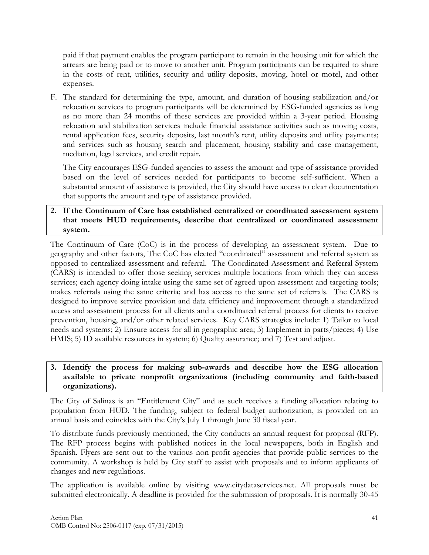paid if that payment enables the program participant to remain in the housing unit for which the arrears are being paid or to move to another unit. Program participants can be required to share in the costs of rent, utilities, security and utility deposits, moving, hotel or motel, and other expenses.

F. The standard for determining the type, amount, and duration of housing stabilization and/or relocation services to program participants will be determined by ESG-funded agencies as long as no more than 24 months of these services are provided within a 3-year period. Housing relocation and stabilization services include financial assistance activities such as moving costs, rental application fees, security deposits, last month's rent, utility deposits and utility payments; and services such as housing search and placement, housing stability and case management, mediation, legal services, and credit repair.

The City encourages ESG-funded agencies to assess the amount and type of assistance provided based on the level of services needed for participants to become self-sufficient. When a substantial amount of assistance is provided, the City should have access to clear documentation that supports the amount and type of assistance provided.

### **2. If the Continuum of Care has established centralized or coordinated assessment system that meets HUD requirements, describe that centralized or coordinated assessment system.**

The Continuum of Care (CoC) is in the process of developing an assessment system. Due to geography and other factors, The CoC has elected "coordinated" assessment and referral system as opposed to centralized assessment and referral. The Coordinated Assessment and Referral System (CARS) is intended to offer those seeking services multiple locations from which they can access services; each agency doing intake using the same set of agreed-upon assessment and targeting tools; makes referrals using the same criteria; and has access to the same set of referrals. The CARS is designed to improve service provision and data efficiency and improvement through a standardized access and assessment process for all clients and a coordinated referral process for clients to receive prevention, housing, and/or other related services. Key CARS strategies include: 1) Tailor to local needs and systems; 2) Ensure access for all in geographic area; 3) Implement in parts/pieces; 4) Use HMIS; 5) ID available resources in system; 6) Quality assurance; and 7) Test and adjust.

#### **3. Identify the process for making sub-awards and describe how the ESG allocation available to private nonprofit organizations (including community and faith-based organizations).**

The City of Salinas is an "Entitlement City" and as such receives a funding allocation relating to population from HUD. The funding, subject to federal budget authorization, is provided on an annual basis and coincides with the City's July 1 through June 30 fiscal year.

To distribute funds previously mentioned, the City conducts an annual request for proposal (RFP). The RFP process begins with published notices in the local newspapers, both in English and Spanish. Flyers are sent out to the various non-profit agencies that provide public services to the community. A workshop is held by City staff to assist with proposals and to inform applicants of changes and new regulations.

The application is available online by visiting www.citydataservices.net. All proposals must be submitted electronically. A deadline is provided for the submission of proposals. It is normally 30-45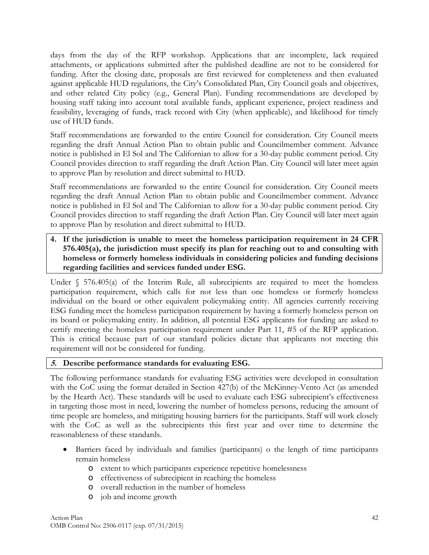days from the day of the RFP workshop. Applications that are incomplete, lack required attachments, or applications submitted after the published deadline are not to be considered for funding. After the closing date, proposals are first reviewed for completeness and then evaluated against applicable HUD regulations, the City's Consolidated Plan, City Council goals and objectives, and other related City policy (e.g., General Plan). Funding recommendations are developed by housing staff taking into account total available funds, applicant experience, project readiness and feasibility, leveraging of funds, track record with City (when applicable), and likelihood for timely use of HUD funds.

Staff recommendations are forwarded to the entire Council for consideration. City Council meets regarding the draft Annual Action Plan to obtain public and Councilmember comment. Advance notice is published in El Sol and The Californian to allow for a 30-day public comment period. City Council provides direction to staff regarding the draft Action Plan. City Council will later meet again to approve Plan by resolution and direct submittal to HUD.

Staff recommendations are forwarded to the entire Council for consideration. City Council meets regarding the draft Annual Action Plan to obtain public and Councilmember comment. Advance notice is published in El Sol and The Californian to allow for a 30-day public comment period. City Council provides direction to staff regarding the draft Action Plan. City Council will later meet again to approve Plan by resolution and direct submittal to HUD.

**4. If the jurisdiction is unable to meet the homeless participation requirement in 24 CFR 576.405(a), the jurisdiction must specify its plan for reaching out to and consulting with homeless or formerly homeless individuals in considering policies and funding decisions regarding facilities and services funded under ESG.**

Under  $\S$  576.405(a) of the Interim Rule, all subrecipients are required to meet the homeless participation requirement, which calls for not less than one homeless or formerly homeless individual on the board or other equivalent policymaking entity. All agencies currently receiving ESG funding meet the homeless participation requirement by having a formerly homeless person on its board or policymaking entity. In addition, all potential ESG applicants for funding are asked to certify meeting the homeless participation requirement under Part 11, #5 of the RFP application. This is critical because part of our standard policies dictate that applicants not meeting this requirement will not be considered for funding.

#### **5. Describe performance standards for evaluating ESG.**

The following performance standards for evaluating ESG activities were developed in consultation with the CoC using the format detailed in Section 427(b) of the McKinney-Vento Act (as amended by the Hearth Act). These standards will be used to evaluate each ESG subrecipient's effectiveness in targeting those most in need, lowering the number of homeless persons, reducing the amount of time people are homeless, and mitigating housing barriers for the participants. Staff will work closely with the CoC as well as the subrecipients this first year and over time to determine the reasonableness of these standards.

- Barriers faced by individuals and families (participants) o the length of time participants remain homeless
	- o extent to which participants experience repetitive homelessness
	- o effectiveness of subrecipient in reaching the homeless
	- o overall reduction in the number of homeless
	- o job and income growth